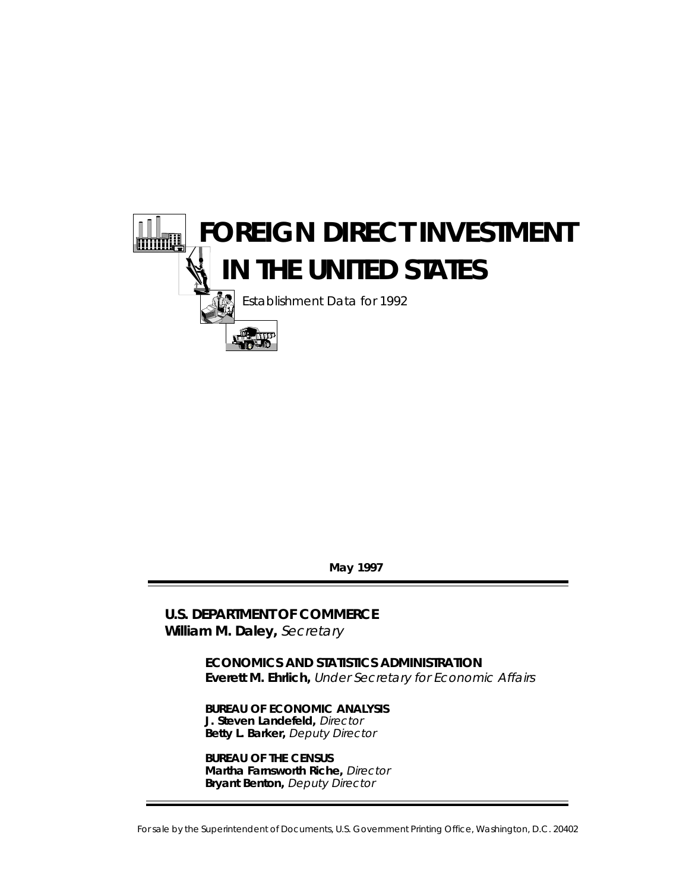

**May 1997**

**U.S. DEPARTMENT OF COMMERCE William M. Daley,** Secretary

> **ECONOMICS AND STATISTICS ADMINISTRATION Everett M. Ehrlich,** Under Secretary for Economic Affairs

**BUREAU OF ECONOMIC ANALYSIS J. Steven Landefeld,** Director **Betty L. Barker,** Deputy Director

**BUREAU OF THE CENSUS Martha Farnsworth Riche,** Director **Bryant Benton,** Deputy Director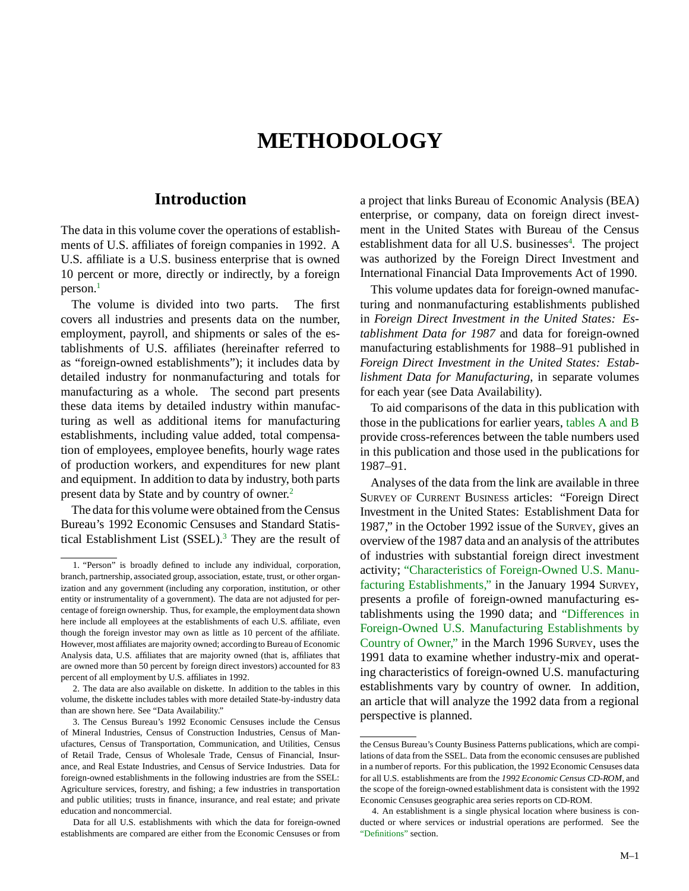# **METHODOLOGY**

# **Introduction**

The data in this volume cover the operations of establishments of U.S. affiliates of foreign companies in 1992. A U.S. affiliate is a U.S. business enterprise that is owned 10 percent or more, directly or indirectly, by a foreign  $person.<sup>1</sup>$ 

The volume is divided into two parts. The first covers all industries and presents data on the number, employment, payroll, and shipments or sales of the establishments of U.S. affiliates (hereinafter referred to as "foreign-owned establishments"); it includes data by detailed industry for nonmanufacturing and totals for manufacturing as a whole. The second part presents these data items by detailed industry within manufacturing as well as additional items for manufacturing establishments, including value added, total compensation of employees, employee benefits, hourly wage rates of production workers, and expenditures for new plant and equipment. In addition to data by industry, both parts present data by State and by country of owner.2

The data for this volume were obtained from the Census Bureau's 1992 Economic Censuses and Standard Statistical Establishment List (SSEL).<sup>3</sup> They are the result of

2. The data are also available on diskette. In addition to the tables in this volume, the diskette includes tables with more detailed State-by-industry data than are shown here. See "Data Availability."

a project that links Bureau of Economic Analysis (BEA) enterprise, or company, data on foreign direct investment in the United States with Bureau of the Census establishment data for all U.S. businesses<sup>4</sup>. The project was authorized by the Foreign Direct Investment and International Financial Data Improvements Act of 1990.

This volume updates data for foreign-owned manufacturing and nonmanufacturing establishments published in *Foreign Direct Investment in the United States: Establishment Data for 1987* and data for foreign-owned manufacturing establishments for 1988–91 published in *Foreign Direct Investment in the United States: Establishment Data for Manufacturing*, in separate volumes for each year (see Data Availability).

To aid comparisons of the data in this publication with those in the publications for earlier years, [tables A and B](#page-2-0) provide cross-references between the table numbers used in this publication and those used in the publications for 1987–91.

Analyses of the data from the link are available in three SURVEY OF CURRENT BUSINESS articles: "Foreign Direct Investment in the United States: Establishment Data for 1987," in the October 1992 issue of the SURVEY, gives an overview of the 1987 data and an analysis of the attributes of industries with substantial foreign direct investment activity; ["Characteristics of Foreign-Owned U.S. Manu](http://www.stat-usa.gov/BEN/bea/internat/fdinvest/scbart/1994/0194iid.pdf)[facturing Establishments,"](http://www.stat-usa.gov/BEN/bea/internat/fdinvest/scbart/1994/0194iid.pdf) in the January 1994 SURVEY, presents a profile of foreign-owned manufacturing establishments using the 1990 data; and ["Differences in](http://www.stat-usa.gov/BEN/bea/internat/fdinvest/scbart/1996/0396iid.pdf) [Foreign-Owned U.S. Manufacturing Establishments by](http://www.stat-usa.gov/BEN/bea/internat/fdinvest/scbart/1996/0396iid.pdf) [Country of Owner,"](http://www.stat-usa.gov/BEN/bea/internat/fdinvest/scbart/1996/0396iid.pdf) in the March 1996 SURVEY, uses the 1991 data to examine whether industry-mix and operating characteristics of foreign-owned U.S. manufacturing establishments vary by country of owner. In addition, an article that will analyze the 1992 data from a regional perspective is planned.

<sup>1. &</sup>quot;Person" is broadly defined to include any individual, corporation, branch, partnership, associated group, association, estate, trust, or other organization and any government (including any corporation, institution, or other entity or instrumentality of a government). The data are not adjusted for percentage of foreign ownership. Thus, for example, the employment data shown here include all employees at the establishments of each U.S. affiliate, even though the foreign investor may own as little as 10 percent of the affiliate. However, most affiliates are majority owned; according to Bureau of Economic Analysis data, U.S. affiliates that are majority owned (that is, affiliates that are owned more than 50 percent by foreign direct investors) accounted for 83 percent of all employment by U.S. affiliates in 1992.

<sup>3.</sup> The Census Bureau's 1992 Economic Censuses include the Census of Mineral Industries, Census of Construction Industries, Census of Manufactures, Census of Transportation, Communication, and Utilities, Census of Retail Trade, Census of Wholesale Trade, Census of Financial, Insurance, and Real Estate Industries, and Census of Service Industries. Data for foreign-owned establishments in the following industries are from the SSEL: Agriculture services, forestry, and fishing; a few industries in transportation and public utilities; trusts in finance, insurance, and real estate; and private education and noncommercial.

Data for all U.S. establishments with which the data for foreign-owned establishments are compared are either from the Economic Censuses or from

the Census Bureau's County Business Patterns publications, which are compilations of data from the SSEL. Data from the economic censuses are published in a number of reports. For this publication, the 1992 Economic Censuses data for all U.S. establishments are from the *1992 Economic Census CD-ROM*, and the scope of the foreign-owned establishment data is consistent with the 1992 Economic Censuses geographic area series reports on CD-ROM.

<sup>4.</sup> An establishment is a single physical location where business is conducted or where services or industrial operations are performed. See the ["Definitions"](#page-9-0) section.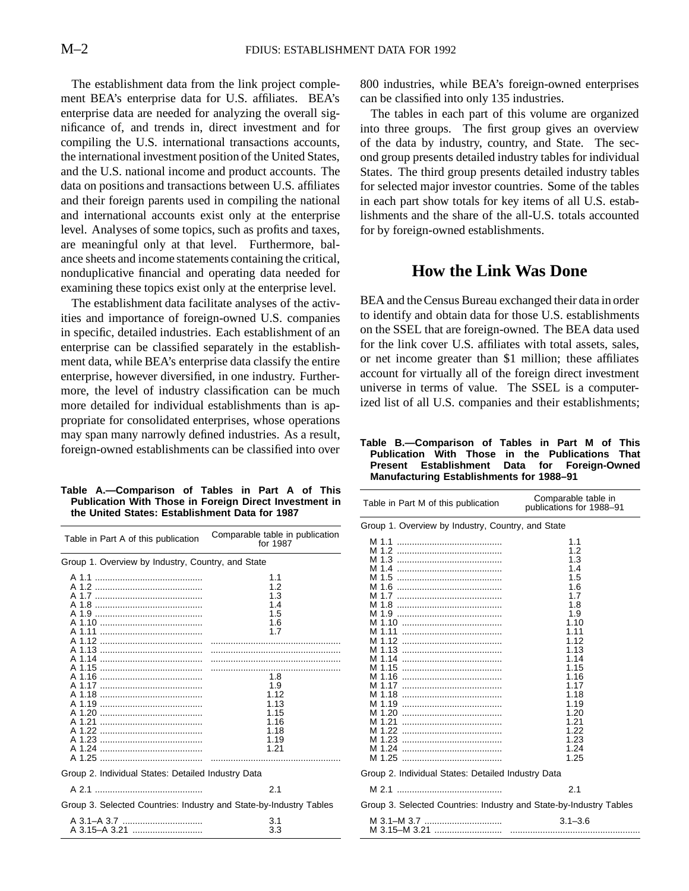<span id="page-2-0"></span>The establishment data from the link project complement BEA's enterprise data for U.S. affiliates. BEA's enterprise data are needed for analyzing the overall significance of, and trends in, direct investment and for compiling the U.S. international transactions accounts, the international investment position of the United States, and the U.S. national income and product accounts. The data on positions and transactions between U.S. affiliates and their foreign parents used in compiling the national and international accounts exist only at the enterprise level. Analyses of some topics, such as profits and taxes, are meaningful only at that level. Furthermore, balance sheets and income statements containing the critical, nonduplicative financial and operating data needed for examining these topics exist only at the enterprise level.

The establishment data facilitate analyses of the activities and importance of foreign-owned U.S. companies in specific, detailed industries. Each establishment of an enterprise can be classified separately in the establishment data, while BEA's enterprise data classify the entire enterprise, however diversified, in one industry. Furthermore, the level of industry classification can be much more detailed for individual establishments than is appropriate for consolidated enterprises, whose operations may span many narrowly defined industries. As a result, foreign-owned establishments can be classified into over

#### **Table A.—Comparison of Tables in Part A of This Publication With Those in Foreign Direct Investment in the United States: Establishment Data for 1987**

| Table in Part A of this publication                                | Comparable table in publication<br>for 1987                                                                         |  |  |  |  |  |  |  |
|--------------------------------------------------------------------|---------------------------------------------------------------------------------------------------------------------|--|--|--|--|--|--|--|
| Group 1. Overview by Industry, Country, and State                  |                                                                                                                     |  |  |  |  |  |  |  |
|                                                                    | 1.1<br>1.2<br>1.3<br>1.4<br>1.5<br>1.6<br>1.7<br>1.8<br>1.9<br>1.12<br>1.13<br>1.15<br>1.16<br>1.18<br>1.19<br>1.21 |  |  |  |  |  |  |  |
| Group 2. Individual States: Detailed Industry Data                 |                                                                                                                     |  |  |  |  |  |  |  |
|                                                                    | 2.1                                                                                                                 |  |  |  |  |  |  |  |
| Group 3. Selected Countries: Industry and State-by-Industry Tables |                                                                                                                     |  |  |  |  |  |  |  |
| A 3.15-A 3.21                                                      | 3.1<br>3.3                                                                                                          |  |  |  |  |  |  |  |

800 industries, while BEA's foreign-owned enterprises can be classified into only 135 industries.

The tables in each part of this volume are organized into three groups. The first group gives an overview of the data by industry, country, and State. The second group presents detailed industry tables for individual States. The third group presents detailed industry tables for selected major investor countries. Some of the tables in each part show totals for key items of all U.S. establishments and the share of the all-U.S. totals accounted for by foreign-owned establishments.

# **How the Link Was Done**

BEA and the Census Bureau exchanged their data in order to identify and obtain data for those U.S. establishments on the SSEL that are foreign-owned. The BEA data used for the link cover U.S. affiliates with total assets, sales, or net income greater than \$1 million; these affiliates account for virtually all of the foreign direct investment universe in terms of value. The SSEL is a computerized list of all U.S. companies and their establishments;

**Table B.—Comparison of Tables in Part M of This Publication With Those in the Publications That Present Establishment Data for Foreign-Owned Manufacturing Establishments for 1988–91**

| Table in Part M of this publication                                                                       | Comparable table in<br>publications for 1988-91                                                                                                                                             |
|-----------------------------------------------------------------------------------------------------------|---------------------------------------------------------------------------------------------------------------------------------------------------------------------------------------------|
| Group 1. Overview by Industry, Country, and State                                                         |                                                                                                                                                                                             |
| M 1.8<br>M 1.11<br>M 1.12<br>M 1.14<br>M 1.15<br>M 1.16<br>M 1.17<br>M 1.18<br>M 1.21<br>M 1.24<br>M 1.25 | 1.1<br>1.2<br>1.3<br>1.4<br>1.5<br>1.6<br>1.7<br>1.8<br>1.9<br>1.10<br>1.11<br>1.12<br>1.13<br>1.14<br>1.15<br>1.16<br>1.17<br>1.18<br>1.19<br>1.20<br>1.21<br>1.22<br>1.23<br>1.24<br>1.25 |
| Group 2. Individual States: Detailed Industry Data                                                        |                                                                                                                                                                                             |
|                                                                                                           | 2.1                                                                                                                                                                                         |
| Group 3. Selected Countries: Industry and State-by-Industry Tables                                        |                                                                                                                                                                                             |
| M 3.1–M 3.7                                                                                               | $3.1 - 3.6$                                                                                                                                                                                 |
|                                                                                                           |                                                                                                                                                                                             |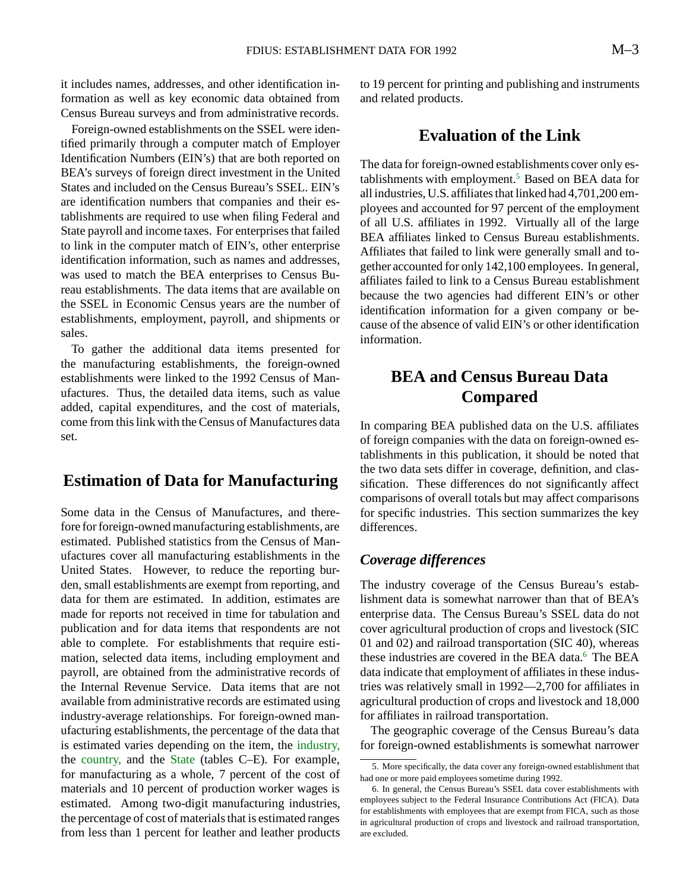it includes names, addresses, and other identification information as well as key economic data obtained from Census Bureau surveys and from administrative records.

Foreign-owned establishments on the SSEL were identified primarily through a computer match of Employer Identification Numbers (EIN's) that are both reported on BEA's surveys of foreign direct investment in the United States and included on the Census Bureau's SSEL. EIN's are identification numbers that companies and their establishments are required to use when filing Federal and State payroll and income taxes. For enterprises that failed to link in the computer match of EIN's, other enterprise identification information, such as names and addresses, was used to match the BEA enterprises to Census Bureau establishments. The data items that are available on the SSEL in Economic Census years are the number of establishments, employment, payroll, and shipments or sales.

To gather the additional data items presented for the manufacturing establishments, the foreign-owned establishments were linked to the 1992 Census of Manufactures. Thus, the detailed data items, such as value added, capital expenditures, and the cost of materials, come from this link with the Census of Manufactures data set.

# **Estimation of Data for Manufacturing**

Some data in the Census of Manufactures, and therefore for foreign-owned manufacturing establishments, are estimated. Published statistics from the Census of Manufactures cover all manufacturing establishments in the United States. However, to reduce the reporting burden, small establishments are exempt from reporting, and data for them are estimated. In addition, estimates are made for reports not received in time for tabulation and publication and for data items that respondents are not able to complete. For establishments that require estimation, selected data items, including employment and payroll, are obtained from the administrative records of the Internal Revenue Service. Data items that are not available from administrative records are estimated using industry-average relationships. For foreign-owned manufacturing establishments, the percentage of the data that is estimated varies depending on the item, the [industry,](#page-4-0) the [country,](#page-6-0) and the [State](#page-7-0) (tables C–E). For example, for manufacturing as a whole, 7 percent of the cost of materials and 10 percent of production worker wages is estimated. Among two-digit manufacturing industries, the percentage of cost of materials that is estimated ranges from less than 1 percent for leather and leather products

to 19 percent for printing and publishing and instruments and related products.

# **Evaluation of the Link**

The data for foreign-owned establishments cover only establishments with employment.<sup>5</sup> Based on BEA data for all industries, U.S. affiliates that linked had 4,701,200 employees and accounted for 97 percent of the employment of all U.S. affiliates in 1992. Virtually all of the large BEA affiliates linked to Census Bureau establishments. Affiliates that failed to link were generally small and together accounted for only 142,100 employees. In general, affiliates failed to link to a Census Bureau establishment because the two agencies had different EIN's or other identification information for a given company or because of the absence of valid EIN's or other identification information.

# **BEA and Census Bureau Data Compared**

In comparing BEA published data on the U.S. affiliates of foreign companies with the data on foreign-owned establishments in this publication, it should be noted that the two data sets differ in coverage, definition, and classification. These differences do not significantly affect comparisons of overall totals but may affect comparisons for specific industries. This section summarizes the key differences.

#### *Coverage differences*

The industry coverage of the Census Bureau's establishment data is somewhat narrower than that of BEA's enterprise data. The Census Bureau's SSEL data do not cover agricultural production of crops and livestock (SIC 01 and 02) and railroad transportation (SIC 40), whereas these industries are covered in the BEA data.<sup>6</sup> The BEA data indicate that employment of affiliates in these industries was relatively small in 1992—2,700 for affiliates in agricultural production of crops and livestock and 18,000 for affiliates in railroad transportation.

The geographic coverage of the Census Bureau's data for foreign-owned establishments is somewhat narrower

<sup>5.</sup> More specifically, the data cover any foreign-owned establishment that had one or more paid employees sometime during 1992.

<sup>6.</sup> In general, the Census Bureau's SSEL data cover establishments with employees subject to the Federal Insurance Contributions Act (FICA). Data for establishments with employees that are exempt from FICA, such as those in agricultural production of crops and livestock and railroad transportation, are excluded.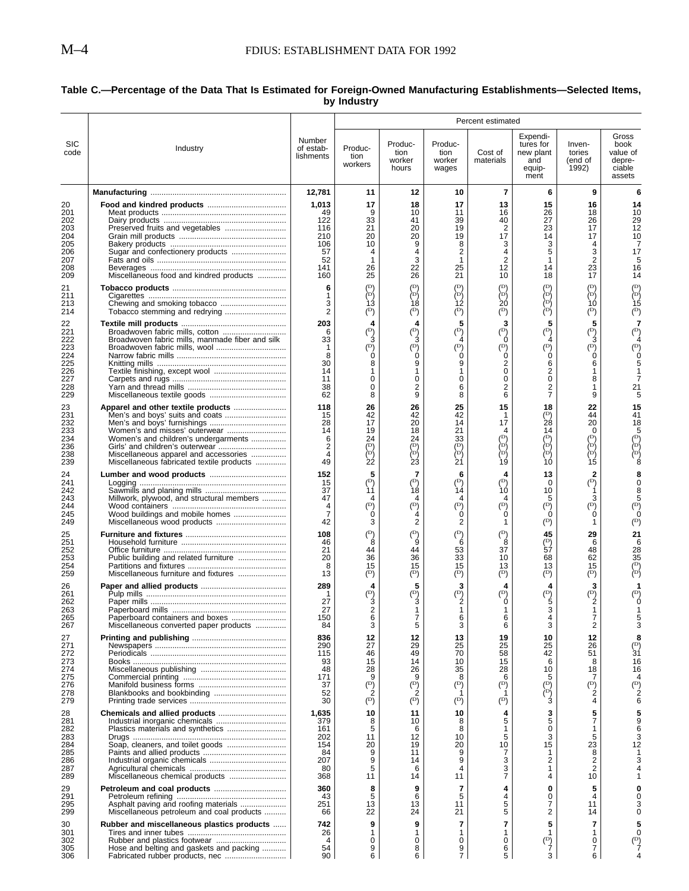$\overline{a}$ 

#### <span id="page-4-0"></span>**Table C.—Percentage of the Data That Is Estimated for Foreign-Owned Manufacturing Establishments—Selected Items, by Industry**

| Expendi-<br>Gross<br>Number<br><b>SIC</b><br>Produc-<br>Produc-<br>tures for<br>Inven-<br>book<br>Produc-<br>of estab-<br>Industry<br>tion<br>tion<br>Cost of<br>new plant<br>tories<br>value of<br>code<br>lishments<br>tion<br>worker<br>worker<br>materials<br>(end of<br>depre-<br>and<br>workers<br>hours<br>1992)<br>ciable<br>wages<br>equip-<br>ment<br>assets<br>12,781<br>11<br>7<br>6<br>12<br>10<br>9<br>6<br>15<br>1,013<br>17<br>17<br>13<br>18<br>16<br>14<br>16<br>26<br>10<br>49<br>9<br>10<br>11<br>18<br>122<br>33<br>39<br>40<br>27<br>26<br>29<br>202<br>41<br>12<br>116<br>21<br>20<br>19<br>2<br>23<br>17<br>203<br>17<br>210<br>20<br>20<br>19<br>14<br>17<br>10<br>9<br>8<br>3<br>3<br>205<br>106<br>10<br>4<br>5<br>2<br>3<br>206<br>Sugar and confectionery products<br>57<br>4<br>17<br>4<br>4<br>$\overline{2}$<br>52<br>1<br>3<br>1<br>2<br>1<br>5<br>208<br>26<br>22<br>25<br>12<br>23<br>141<br>14<br>16<br>25<br>21<br>17<br>26<br>10<br>209<br>Miscellaneous food and kindred products<br>160<br>18<br>14<br>(D)<br>(D)<br>(D)<br>(D)<br>(D)<br>(D)<br>(D)<br>21<br>6<br>èρĵ<br>èή<br>èρ<br>ìσí<br>èρý<br>ìσί<br>ìΡή<br>1<br>∖о∖<br>ነ2<br>2ó<br>ÌЗ<br>Ì8<br>ÌÓ.<br>15<br>3<br>Chewing and smoking tobacco<br>(¤)<br>$\binom{D}{b}$<br>$(\mathbf{D})$<br>$\binom{D}{k}$<br>2<br>$^{\rm (D)}$<br>$\binom{D}{b}$<br>$^{\rm (D)}$<br>214<br>Tobacco stemming and redrying<br>5<br>5<br>22<br>203<br>3<br>5<br>4<br>4<br>$\binom{D}{ }$<br>$\overline{P}$<br>$(\mathbf{D})$<br>$\left( \mathrm{^{D}}\right)$<br>$(\mathbf{D})$<br>$(\mathbb{D})$<br>6<br>33<br>0<br>Broadwoven fabric mills, manmade fiber and silk<br>3<br>3<br>3<br>$\begin{pmatrix} 1 & b \\ c & d \end{pmatrix}$<br>$\mathcal{P}$<br>$\begin{pmatrix} 1 & 0 \\ 0 & 0 \end{pmatrix}$<br>(D)<br>$\widetilde{P}$<br>(D)<br>223<br>224<br>Ó<br>Ó<br>Ó<br>8<br>0<br>30<br>2<br>6<br>8<br>9<br>9<br>6<br>$\mathbf 0$<br>2<br>226<br>14<br>1<br>-1<br>1<br>0<br>0<br>8<br>227<br>11<br>0<br>0<br>0<br>$\boldsymbol{2}$<br>$\overline{\mathbf{c}}$<br>38<br>0<br>2<br>6<br>1<br>21<br>62<br>8<br>9<br>8<br>6<br>7<br>9<br>25<br>15<br>118<br>26<br>26<br>18<br>22<br>15<br>231<br>42<br>(D)<br>42<br>41<br>15<br>42<br>44<br>1<br>28<br>232<br>28<br>17<br>20<br>14<br>17<br>20<br>18<br>19<br>18<br>21<br>Women's and misses' outerwear<br>14<br>14<br>4<br>0<br>ΙĐ<br>(D<br>(D<br>234<br>24<br>24<br>33<br>Women's and children's undergarments<br>6<br>∤¤{<br>∖⊳∖<br>∖¤∫<br>$\begin{pmatrix} D \\ D \end{pmatrix}$<br>∕о{<br>$(\mathbb{D})$<br>$(\mathsf{D})$<br>236<br>2<br>èΡή<br>(pj<br>(P)<br>ìσ,<br>èΡή<br>ÌD<br>4<br>Miscellaneous apparel and accessories<br>$\overline{21}$<br>22<br>Ż3<br>Ì9<br>15<br>49<br>Miscellaneous fabricated textile products<br>10<br>152<br>5<br>7<br>13<br>2<br>6<br>4<br>(D)<br>$\binom{D}{ }$<br>(D)<br>(D)<br>$(\mathbb{D})$<br>241<br>15<br>0<br>ìό<br>ìв<br>Ì1<br>Ì4<br>37<br>10<br>5<br>47<br>4<br>3<br>Millwork, plywood, and structural members<br>4<br>4<br>4<br>(D)<br>$\binom{D}{4}$<br>$\binom{D}{0}$<br>(D)<br>$(\mathbb{D})$<br>$(\mathbb{D})$<br>$(\mathbb{D})$<br>244<br>4<br>ó<br>Ó<br>7<br>Ó<br>Ó<br>245<br>Wood buildings and mobile homes<br>$(\mathbb{D})$<br>2<br>$^{\rm (D)}$<br>Miscellaneous wood products<br>42<br>3<br>2<br>1<br>1<br>(D)<br>$\binom{D}{k}$<br>$\binom{D}{ }$<br>$\binom{D}{ }$<br>45<br>108<br>29<br>21<br>6<br>8<br>$\binom{D}{57}$<br>251<br>46<br>8<br>9<br>6<br>21<br>37<br>252<br>53<br>28<br>44<br>44<br>48<br>35<br>20<br>36<br>36<br>33<br>10<br>62<br>68<br>$\left(\mathbb{D}\right)$<br>15<br>15<br>15<br>15<br>8<br>13<br>13<br>(pj<br>$(\mathbf{D})$<br>$\binom{D}{ }$<br>$(\mathbf{D})$<br>$\binom{D}{ }$<br>$\binom{D}{b}$<br>$\binom{D}{k}$<br>259<br>13<br>Miscellaneous furniture and fixtures<br>5<br>3<br>26<br>289<br>3<br>4<br>4<br>4<br>(D)<br>$\binom{D}{3}$<br>$\binom{D}{2}$<br>$(\mathbb{D})$<br>$\binom{\rm D}{5}$<br>$\binom{p}{2}$<br>ó<br>27<br>3<br>3<br>27<br>2<br>$\mathbf{1}$<br>263<br>1<br>1<br>265<br>150<br>6<br>7<br>6<br>6<br>4<br>5<br>2<br>3<br>3<br>3<br>Miscellaneous converted paper products<br>84<br>6<br>3<br>836<br>12<br>12<br>13<br>19<br>10<br>12<br>$(\mathbb{D})$<br>271<br>290<br>27<br>29<br>25<br>25<br>25<br>26<br>58<br>272<br>115<br>46<br>49<br>70<br>42<br>51<br>31<br>93<br>15<br>14<br>10<br>15<br>16<br>6<br>8<br>274<br>48<br>28<br>26<br>35<br>28<br>10<br>18<br>16<br>275<br>171<br>9<br>6<br>9<br>8<br>5<br>7<br>$\binom{p}{2}$<br>(D)<br>$\binom{D}{2}$<br>$\binom{D}{ }$<br>$(\mathbb{D})$<br>$\binom{D}{2}$<br>$\binom{D}{2}$<br>37<br>∖¤∖<br>278<br>52<br>Blankbooks and bookbinding<br>$\binom{D}{ }$<br>$\binom{D}{ }$<br>3<br>279<br>30<br>$\binom{D}{ }$<br>$(\mathbb{D})$<br>4<br>6<br>5<br>28<br>1,635<br>10<br>10<br>3<br>11<br>4<br>5<br>7<br>379<br>5<br>8<br>10<br>8<br>5<br>8<br>0<br>161<br>6<br>1<br>1<br>12<br>5<br>3<br>5<br>283<br>202<br>11<br>10<br>154<br>20<br>10<br>15<br>23<br>284<br>Soap, cleaners, and toilet goods<br>19<br>20<br>12<br>84<br>9<br>9<br>7<br>8<br>11<br>1<br>2<br>207<br>9<br>9<br>3<br>2<br>286<br>14<br>$\overline{2}$<br>5<br>3<br>287<br>80<br>6<br>4<br>1<br>$\overline{7}$<br>368<br>11<br>4<br>14<br>11<br>10<br>360<br>8<br>9<br>7<br>0<br>5<br>4<br>5<br>5<br>43<br>4<br>0<br>6<br>4<br>251<br>13<br>5<br>295<br>Asphalt paving and roofing materials<br>13<br>11<br>7<br>11<br>5<br>22<br>2<br>Miscellaneous petroleum and coal products<br>24<br>21<br>14<br>66<br>$\overline{7}$<br>5<br>9<br>7<br>742<br>9<br>7<br>Rubber and miscellaneous plastics products<br>26<br>1<br>1<br>1<br>1<br>1<br>1<br>$\binom{D}{7}$<br>0<br>0<br>0<br>0<br>$(\mathbb{D})$<br>302<br>0<br>4<br>7<br>54<br>9<br>Hose and belting and gaskets and packing<br>8<br>9<br>6<br>6<br>$\overline{7}$<br>3<br>90<br>6<br>5<br>6 |     |  |  | Percent estimated |  |  |
|--------------------------------------------------------------------------------------------------------------------------------------------------------------------------------------------------------------------------------------------------------------------------------------------------------------------------------------------------------------------------------------------------------------------------------------------------------------------------------------------------------------------------------------------------------------------------------------------------------------------------------------------------------------------------------------------------------------------------------------------------------------------------------------------------------------------------------------------------------------------------------------------------------------------------------------------------------------------------------------------------------------------------------------------------------------------------------------------------------------------------------------------------------------------------------------------------------------------------------------------------------------------------------------------------------------------------------------------------------------------------------------------------------------------------------------------------------------------------------------------------------------------------------------------------------------------------------------------------------------------------------------------------------------------------------------------------------------------------------------------------------------------------------------------------------------------------------------------------------------------------------------------------------------------------------------------------------------------------------------------------------------------------------------------------------------------------------------------------------------------------------------------------------------------------------------------------------------------------------------------------------------------------------------------------------------------------------------------------------------------------------------------------------------------------------------------------------------------------------------------------------------------------------------------------------------------------------------------------------------------------------------------------------------------------------------------------------------------------------------------------------------------------------------------------------------------------------------------------------------------------------------------------------------------------------------------------------------------------------------------------------------------------------------------------------------------------------------------------------------------------------------------------------------------------------------------------------------------------------------------------------------------------------------------------------------------------------------------------------------------------------------------------------------------------------------------------------------------------------------------------------------------------------------------------------------------------------------------------------------------------------------------------------------------------------------------------------------------------------------------------------------------------------------------------------------------------------------------------------------------------------------------------------------------------------------------------------------------------------------------------------------------------------------------------------------------------------------------------------------------------------------------------------------------------------------------------------------------------------------------------------------------------------------------------------------------------------------------------------------------------------------------------------------------------------------------------------------------------------------------------------------------------------------------------------------------------------------------------------------------------------------------------------------------------------------------------------------------------------------------------------------------------------------------------------------------------------------------------------------------------------------------------------------------------------------------------------------------------------------------------------------------------------------------------------------------------------------------------------------------------------------------------------------------------------------------------------------------------------------------------------------------------------------------------------------------------------------------------------------------------------------------------------------------------------------------------------------------------------------------------------------------------------------------------------------------------------------------------------------------------------------------------------------------------------------------------------------------------------------------------------------------------------------------------------------------|-----|--|--|-------------------|--|--|
|                                                                                                                                                                                                                                                                                                                                                                                                                                                                                                                                                                                                                                                                                                                                                                                                                                                                                                                                                                                                                                                                                                                                                                                                                                                                                                                                                                                                                                                                                                                                                                                                                                                                                                                                                                                                                                                                                                                                                                                                                                                                                                                                                                                                                                                                                                                                                                                                                                                                                                                                                                                                                                                                                                                                                                                                                                                                                                                                                                                                                                                                                                                                                                                                                                                                                                                                                                                                                                                                                                                                                                                                                                                                                                                                                                                                                                                                                                                                                                                                                                                                                                                                                                                                                                                                                                                                                                                                                                                                                                                                                                                                                                                                                                                                                                                                                                                                                                                                                                                                                                                                                                                                                                                                                                                                                                                                                                                                                                                                                                                                                                                                                                                                                                                                                                                                                    |     |  |  |                   |  |  |
|                                                                                                                                                                                                                                                                                                                                                                                                                                                                                                                                                                                                                                                                                                                                                                                                                                                                                                                                                                                                                                                                                                                                                                                                                                                                                                                                                                                                                                                                                                                                                                                                                                                                                                                                                                                                                                                                                                                                                                                                                                                                                                                                                                                                                                                                                                                                                                                                                                                                                                                                                                                                                                                                                                                                                                                                                                                                                                                                                                                                                                                                                                                                                                                                                                                                                                                                                                                                                                                                                                                                                                                                                                                                                                                                                                                                                                                                                                                                                                                                                                                                                                                                                                                                                                                                                                                                                                                                                                                                                                                                                                                                                                                                                                                                                                                                                                                                                                                                                                                                                                                                                                                                                                                                                                                                                                                                                                                                                                                                                                                                                                                                                                                                                                                                                                                                                    |     |  |  |                   |  |  |
|                                                                                                                                                                                                                                                                                                                                                                                                                                                                                                                                                                                                                                                                                                                                                                                                                                                                                                                                                                                                                                                                                                                                                                                                                                                                                                                                                                                                                                                                                                                                                                                                                                                                                                                                                                                                                                                                                                                                                                                                                                                                                                                                                                                                                                                                                                                                                                                                                                                                                                                                                                                                                                                                                                                                                                                                                                                                                                                                                                                                                                                                                                                                                                                                                                                                                                                                                                                                                                                                                                                                                                                                                                                                                                                                                                                                                                                                                                                                                                                                                                                                                                                                                                                                                                                                                                                                                                                                                                                                                                                                                                                                                                                                                                                                                                                                                                                                                                                                                                                                                                                                                                                                                                                                                                                                                                                                                                                                                                                                                                                                                                                                                                                                                                                                                                                                                    | 20  |  |  |                   |  |  |
|                                                                                                                                                                                                                                                                                                                                                                                                                                                                                                                                                                                                                                                                                                                                                                                                                                                                                                                                                                                                                                                                                                                                                                                                                                                                                                                                                                                                                                                                                                                                                                                                                                                                                                                                                                                                                                                                                                                                                                                                                                                                                                                                                                                                                                                                                                                                                                                                                                                                                                                                                                                                                                                                                                                                                                                                                                                                                                                                                                                                                                                                                                                                                                                                                                                                                                                                                                                                                                                                                                                                                                                                                                                                                                                                                                                                                                                                                                                                                                                                                                                                                                                                                                                                                                                                                                                                                                                                                                                                                                                                                                                                                                                                                                                                                                                                                                                                                                                                                                                                                                                                                                                                                                                                                                                                                                                                                                                                                                                                                                                                                                                                                                                                                                                                                                                                                    | 201 |  |  |                   |  |  |
|                                                                                                                                                                                                                                                                                                                                                                                                                                                                                                                                                                                                                                                                                                                                                                                                                                                                                                                                                                                                                                                                                                                                                                                                                                                                                                                                                                                                                                                                                                                                                                                                                                                                                                                                                                                                                                                                                                                                                                                                                                                                                                                                                                                                                                                                                                                                                                                                                                                                                                                                                                                                                                                                                                                                                                                                                                                                                                                                                                                                                                                                                                                                                                                                                                                                                                                                                                                                                                                                                                                                                                                                                                                                                                                                                                                                                                                                                                                                                                                                                                                                                                                                                                                                                                                                                                                                                                                                                                                                                                                                                                                                                                                                                                                                                                                                                                                                                                                                                                                                                                                                                                                                                                                                                                                                                                                                                                                                                                                                                                                                                                                                                                                                                                                                                                                                                    |     |  |  |                   |  |  |
|                                                                                                                                                                                                                                                                                                                                                                                                                                                                                                                                                                                                                                                                                                                                                                                                                                                                                                                                                                                                                                                                                                                                                                                                                                                                                                                                                                                                                                                                                                                                                                                                                                                                                                                                                                                                                                                                                                                                                                                                                                                                                                                                                                                                                                                                                                                                                                                                                                                                                                                                                                                                                                                                                                                                                                                                                                                                                                                                                                                                                                                                                                                                                                                                                                                                                                                                                                                                                                                                                                                                                                                                                                                                                                                                                                                                                                                                                                                                                                                                                                                                                                                                                                                                                                                                                                                                                                                                                                                                                                                                                                                                                                                                                                                                                                                                                                                                                                                                                                                                                                                                                                                                                                                                                                                                                                                                                                                                                                                                                                                                                                                                                                                                                                                                                                                                                    | 204 |  |  |                   |  |  |
|                                                                                                                                                                                                                                                                                                                                                                                                                                                                                                                                                                                                                                                                                                                                                                                                                                                                                                                                                                                                                                                                                                                                                                                                                                                                                                                                                                                                                                                                                                                                                                                                                                                                                                                                                                                                                                                                                                                                                                                                                                                                                                                                                                                                                                                                                                                                                                                                                                                                                                                                                                                                                                                                                                                                                                                                                                                                                                                                                                                                                                                                                                                                                                                                                                                                                                                                                                                                                                                                                                                                                                                                                                                                                                                                                                                                                                                                                                                                                                                                                                                                                                                                                                                                                                                                                                                                                                                                                                                                                                                                                                                                                                                                                                                                                                                                                                                                                                                                                                                                                                                                                                                                                                                                                                                                                                                                                                                                                                                                                                                                                                                                                                                                                                                                                                                                                    |     |  |  |                   |  |  |
|                                                                                                                                                                                                                                                                                                                                                                                                                                                                                                                                                                                                                                                                                                                                                                                                                                                                                                                                                                                                                                                                                                                                                                                                                                                                                                                                                                                                                                                                                                                                                                                                                                                                                                                                                                                                                                                                                                                                                                                                                                                                                                                                                                                                                                                                                                                                                                                                                                                                                                                                                                                                                                                                                                                                                                                                                                                                                                                                                                                                                                                                                                                                                                                                                                                                                                                                                                                                                                                                                                                                                                                                                                                                                                                                                                                                                                                                                                                                                                                                                                                                                                                                                                                                                                                                                                                                                                                                                                                                                                                                                                                                                                                                                                                                                                                                                                                                                                                                                                                                                                                                                                                                                                                                                                                                                                                                                                                                                                                                                                                                                                                                                                                                                                                                                                                                                    | 207 |  |  |                   |  |  |
|                                                                                                                                                                                                                                                                                                                                                                                                                                                                                                                                                                                                                                                                                                                                                                                                                                                                                                                                                                                                                                                                                                                                                                                                                                                                                                                                                                                                                                                                                                                                                                                                                                                                                                                                                                                                                                                                                                                                                                                                                                                                                                                                                                                                                                                                                                                                                                                                                                                                                                                                                                                                                                                                                                                                                                                                                                                                                                                                                                                                                                                                                                                                                                                                                                                                                                                                                                                                                                                                                                                                                                                                                                                                                                                                                                                                                                                                                                                                                                                                                                                                                                                                                                                                                                                                                                                                                                                                                                                                                                                                                                                                                                                                                                                                                                                                                                                                                                                                                                                                                                                                                                                                                                                                                                                                                                                                                                                                                                                                                                                                                                                                                                                                                                                                                                                                                    |     |  |  |                   |  |  |
|                                                                                                                                                                                                                                                                                                                                                                                                                                                                                                                                                                                                                                                                                                                                                                                                                                                                                                                                                                                                                                                                                                                                                                                                                                                                                                                                                                                                                                                                                                                                                                                                                                                                                                                                                                                                                                                                                                                                                                                                                                                                                                                                                                                                                                                                                                                                                                                                                                                                                                                                                                                                                                                                                                                                                                                                                                                                                                                                                                                                                                                                                                                                                                                                                                                                                                                                                                                                                                                                                                                                                                                                                                                                                                                                                                                                                                                                                                                                                                                                                                                                                                                                                                                                                                                                                                                                                                                                                                                                                                                                                                                                                                                                                                                                                                                                                                                                                                                                                                                                                                                                                                                                                                                                                                                                                                                                                                                                                                                                                                                                                                                                                                                                                                                                                                                                                    |     |  |  |                   |  |  |
|                                                                                                                                                                                                                                                                                                                                                                                                                                                                                                                                                                                                                                                                                                                                                                                                                                                                                                                                                                                                                                                                                                                                                                                                                                                                                                                                                                                                                                                                                                                                                                                                                                                                                                                                                                                                                                                                                                                                                                                                                                                                                                                                                                                                                                                                                                                                                                                                                                                                                                                                                                                                                                                                                                                                                                                                                                                                                                                                                                                                                                                                                                                                                                                                                                                                                                                                                                                                                                                                                                                                                                                                                                                                                                                                                                                                                                                                                                                                                                                                                                                                                                                                                                                                                                                                                                                                                                                                                                                                                                                                                                                                                                                                                                                                                                                                                                                                                                                                                                                                                                                                                                                                                                                                                                                                                                                                                                                                                                                                                                                                                                                                                                                                                                                                                                                                                    | 211 |  |  |                   |  |  |
|                                                                                                                                                                                                                                                                                                                                                                                                                                                                                                                                                                                                                                                                                                                                                                                                                                                                                                                                                                                                                                                                                                                                                                                                                                                                                                                                                                                                                                                                                                                                                                                                                                                                                                                                                                                                                                                                                                                                                                                                                                                                                                                                                                                                                                                                                                                                                                                                                                                                                                                                                                                                                                                                                                                                                                                                                                                                                                                                                                                                                                                                                                                                                                                                                                                                                                                                                                                                                                                                                                                                                                                                                                                                                                                                                                                                                                                                                                                                                                                                                                                                                                                                                                                                                                                                                                                                                                                                                                                                                                                                                                                                                                                                                                                                                                                                                                                                                                                                                                                                                                                                                                                                                                                                                                                                                                                                                                                                                                                                                                                                                                                                                                                                                                                                                                                                                    | 213 |  |  |                   |  |  |
|                                                                                                                                                                                                                                                                                                                                                                                                                                                                                                                                                                                                                                                                                                                                                                                                                                                                                                                                                                                                                                                                                                                                                                                                                                                                                                                                                                                                                                                                                                                                                                                                                                                                                                                                                                                                                                                                                                                                                                                                                                                                                                                                                                                                                                                                                                                                                                                                                                                                                                                                                                                                                                                                                                                                                                                                                                                                                                                                                                                                                                                                                                                                                                                                                                                                                                                                                                                                                                                                                                                                                                                                                                                                                                                                                                                                                                                                                                                                                                                                                                                                                                                                                                                                                                                                                                                                                                                                                                                                                                                                                                                                                                                                                                                                                                                                                                                                                                                                                                                                                                                                                                                                                                                                                                                                                                                                                                                                                                                                                                                                                                                                                                                                                                                                                                                                                    |     |  |  |                   |  |  |
|                                                                                                                                                                                                                                                                                                                                                                                                                                                                                                                                                                                                                                                                                                                                                                                                                                                                                                                                                                                                                                                                                                                                                                                                                                                                                                                                                                                                                                                                                                                                                                                                                                                                                                                                                                                                                                                                                                                                                                                                                                                                                                                                                                                                                                                                                                                                                                                                                                                                                                                                                                                                                                                                                                                                                                                                                                                                                                                                                                                                                                                                                                                                                                                                                                                                                                                                                                                                                                                                                                                                                                                                                                                                                                                                                                                                                                                                                                                                                                                                                                                                                                                                                                                                                                                                                                                                                                                                                                                                                                                                                                                                                                                                                                                                                                                                                                                                                                                                                                                                                                                                                                                                                                                                                                                                                                                                                                                                                                                                                                                                                                                                                                                                                                                                                                                                                    | 221 |  |  |                   |  |  |
|                                                                                                                                                                                                                                                                                                                                                                                                                                                                                                                                                                                                                                                                                                                                                                                                                                                                                                                                                                                                                                                                                                                                                                                                                                                                                                                                                                                                                                                                                                                                                                                                                                                                                                                                                                                                                                                                                                                                                                                                                                                                                                                                                                                                                                                                                                                                                                                                                                                                                                                                                                                                                                                                                                                                                                                                                                                                                                                                                                                                                                                                                                                                                                                                                                                                                                                                                                                                                                                                                                                                                                                                                                                                                                                                                                                                                                                                                                                                                                                                                                                                                                                                                                                                                                                                                                                                                                                                                                                                                                                                                                                                                                                                                                                                                                                                                                                                                                                                                                                                                                                                                                                                                                                                                                                                                                                                                                                                                                                                                                                                                                                                                                                                                                                                                                                                                    | 222 |  |  |                   |  |  |
|                                                                                                                                                                                                                                                                                                                                                                                                                                                                                                                                                                                                                                                                                                                                                                                                                                                                                                                                                                                                                                                                                                                                                                                                                                                                                                                                                                                                                                                                                                                                                                                                                                                                                                                                                                                                                                                                                                                                                                                                                                                                                                                                                                                                                                                                                                                                                                                                                                                                                                                                                                                                                                                                                                                                                                                                                                                                                                                                                                                                                                                                                                                                                                                                                                                                                                                                                                                                                                                                                                                                                                                                                                                                                                                                                                                                                                                                                                                                                                                                                                                                                                                                                                                                                                                                                                                                                                                                                                                                                                                                                                                                                                                                                                                                                                                                                                                                                                                                                                                                                                                                                                                                                                                                                                                                                                                                                                                                                                                                                                                                                                                                                                                                                                                                                                                                                    |     |  |  |                   |  |  |
|                                                                                                                                                                                                                                                                                                                                                                                                                                                                                                                                                                                                                                                                                                                                                                                                                                                                                                                                                                                                                                                                                                                                                                                                                                                                                                                                                                                                                                                                                                                                                                                                                                                                                                                                                                                                                                                                                                                                                                                                                                                                                                                                                                                                                                                                                                                                                                                                                                                                                                                                                                                                                                                                                                                                                                                                                                                                                                                                                                                                                                                                                                                                                                                                                                                                                                                                                                                                                                                                                                                                                                                                                                                                                                                                                                                                                                                                                                                                                                                                                                                                                                                                                                                                                                                                                                                                                                                                                                                                                                                                                                                                                                                                                                                                                                                                                                                                                                                                                                                                                                                                                                                                                                                                                                                                                                                                                                                                                                                                                                                                                                                                                                                                                                                                                                                                                    | 225 |  |  |                   |  |  |
|                                                                                                                                                                                                                                                                                                                                                                                                                                                                                                                                                                                                                                                                                                                                                                                                                                                                                                                                                                                                                                                                                                                                                                                                                                                                                                                                                                                                                                                                                                                                                                                                                                                                                                                                                                                                                                                                                                                                                                                                                                                                                                                                                                                                                                                                                                                                                                                                                                                                                                                                                                                                                                                                                                                                                                                                                                                                                                                                                                                                                                                                                                                                                                                                                                                                                                                                                                                                                                                                                                                                                                                                                                                                                                                                                                                                                                                                                                                                                                                                                                                                                                                                                                                                                                                                                                                                                                                                                                                                                                                                                                                                                                                                                                                                                                                                                                                                                                                                                                                                                                                                                                                                                                                                                                                                                                                                                                                                                                                                                                                                                                                                                                                                                                                                                                                                                    |     |  |  |                   |  |  |
|                                                                                                                                                                                                                                                                                                                                                                                                                                                                                                                                                                                                                                                                                                                                                                                                                                                                                                                                                                                                                                                                                                                                                                                                                                                                                                                                                                                                                                                                                                                                                                                                                                                                                                                                                                                                                                                                                                                                                                                                                                                                                                                                                                                                                                                                                                                                                                                                                                                                                                                                                                                                                                                                                                                                                                                                                                                                                                                                                                                                                                                                                                                                                                                                                                                                                                                                                                                                                                                                                                                                                                                                                                                                                                                                                                                                                                                                                                                                                                                                                                                                                                                                                                                                                                                                                                                                                                                                                                                                                                                                                                                                                                                                                                                                                                                                                                                                                                                                                                                                                                                                                                                                                                                                                                                                                                                                                                                                                                                                                                                                                                                                                                                                                                                                                                                                                    | 228 |  |  |                   |  |  |
|                                                                                                                                                                                                                                                                                                                                                                                                                                                                                                                                                                                                                                                                                                                                                                                                                                                                                                                                                                                                                                                                                                                                                                                                                                                                                                                                                                                                                                                                                                                                                                                                                                                                                                                                                                                                                                                                                                                                                                                                                                                                                                                                                                                                                                                                                                                                                                                                                                                                                                                                                                                                                                                                                                                                                                                                                                                                                                                                                                                                                                                                                                                                                                                                                                                                                                                                                                                                                                                                                                                                                                                                                                                                                                                                                                                                                                                                                                                                                                                                                                                                                                                                                                                                                                                                                                                                                                                                                                                                                                                                                                                                                                                                                                                                                                                                                                                                                                                                                                                                                                                                                                                                                                                                                                                                                                                                                                                                                                                                                                                                                                                                                                                                                                                                                                                                                    | 229 |  |  |                   |  |  |
|                                                                                                                                                                                                                                                                                                                                                                                                                                                                                                                                                                                                                                                                                                                                                                                                                                                                                                                                                                                                                                                                                                                                                                                                                                                                                                                                                                                                                                                                                                                                                                                                                                                                                                                                                                                                                                                                                                                                                                                                                                                                                                                                                                                                                                                                                                                                                                                                                                                                                                                                                                                                                                                                                                                                                                                                                                                                                                                                                                                                                                                                                                                                                                                                                                                                                                                                                                                                                                                                                                                                                                                                                                                                                                                                                                                                                                                                                                                                                                                                                                                                                                                                                                                                                                                                                                                                                                                                                                                                                                                                                                                                                                                                                                                                                                                                                                                                                                                                                                                                                                                                                                                                                                                                                                                                                                                                                                                                                                                                                                                                                                                                                                                                                                                                                                                                                    | 23  |  |  |                   |  |  |
|                                                                                                                                                                                                                                                                                                                                                                                                                                                                                                                                                                                                                                                                                                                                                                                                                                                                                                                                                                                                                                                                                                                                                                                                                                                                                                                                                                                                                                                                                                                                                                                                                                                                                                                                                                                                                                                                                                                                                                                                                                                                                                                                                                                                                                                                                                                                                                                                                                                                                                                                                                                                                                                                                                                                                                                                                                                                                                                                                                                                                                                                                                                                                                                                                                                                                                                                                                                                                                                                                                                                                                                                                                                                                                                                                                                                                                                                                                                                                                                                                                                                                                                                                                                                                                                                                                                                                                                                                                                                                                                                                                                                                                                                                                                                                                                                                                                                                                                                                                                                                                                                                                                                                                                                                                                                                                                                                                                                                                                                                                                                                                                                                                                                                                                                                                                                                    |     |  |  |                   |  |  |
|                                                                                                                                                                                                                                                                                                                                                                                                                                                                                                                                                                                                                                                                                                                                                                                                                                                                                                                                                                                                                                                                                                                                                                                                                                                                                                                                                                                                                                                                                                                                                                                                                                                                                                                                                                                                                                                                                                                                                                                                                                                                                                                                                                                                                                                                                                                                                                                                                                                                                                                                                                                                                                                                                                                                                                                                                                                                                                                                                                                                                                                                                                                                                                                                                                                                                                                                                                                                                                                                                                                                                                                                                                                                                                                                                                                                                                                                                                                                                                                                                                                                                                                                                                                                                                                                                                                                                                                                                                                                                                                                                                                                                                                                                                                                                                                                                                                                                                                                                                                                                                                                                                                                                                                                                                                                                                                                                                                                                                                                                                                                                                                                                                                                                                                                                                                                                    | 233 |  |  |                   |  |  |
|                                                                                                                                                                                                                                                                                                                                                                                                                                                                                                                                                                                                                                                                                                                                                                                                                                                                                                                                                                                                                                                                                                                                                                                                                                                                                                                                                                                                                                                                                                                                                                                                                                                                                                                                                                                                                                                                                                                                                                                                                                                                                                                                                                                                                                                                                                                                                                                                                                                                                                                                                                                                                                                                                                                                                                                                                                                                                                                                                                                                                                                                                                                                                                                                                                                                                                                                                                                                                                                                                                                                                                                                                                                                                                                                                                                                                                                                                                                                                                                                                                                                                                                                                                                                                                                                                                                                                                                                                                                                                                                                                                                                                                                                                                                                                                                                                                                                                                                                                                                                                                                                                                                                                                                                                                                                                                                                                                                                                                                                                                                                                                                                                                                                                                                                                                                                                    |     |  |  |                   |  |  |
|                                                                                                                                                                                                                                                                                                                                                                                                                                                                                                                                                                                                                                                                                                                                                                                                                                                                                                                                                                                                                                                                                                                                                                                                                                                                                                                                                                                                                                                                                                                                                                                                                                                                                                                                                                                                                                                                                                                                                                                                                                                                                                                                                                                                                                                                                                                                                                                                                                                                                                                                                                                                                                                                                                                                                                                                                                                                                                                                                                                                                                                                                                                                                                                                                                                                                                                                                                                                                                                                                                                                                                                                                                                                                                                                                                                                                                                                                                                                                                                                                                                                                                                                                                                                                                                                                                                                                                                                                                                                                                                                                                                                                                                                                                                                                                                                                                                                                                                                                                                                                                                                                                                                                                                                                                                                                                                                                                                                                                                                                                                                                                                                                                                                                                                                                                                                                    | 238 |  |  |                   |  |  |
|                                                                                                                                                                                                                                                                                                                                                                                                                                                                                                                                                                                                                                                                                                                                                                                                                                                                                                                                                                                                                                                                                                                                                                                                                                                                                                                                                                                                                                                                                                                                                                                                                                                                                                                                                                                                                                                                                                                                                                                                                                                                                                                                                                                                                                                                                                                                                                                                                                                                                                                                                                                                                                                                                                                                                                                                                                                                                                                                                                                                                                                                                                                                                                                                                                                                                                                                                                                                                                                                                                                                                                                                                                                                                                                                                                                                                                                                                                                                                                                                                                                                                                                                                                                                                                                                                                                                                                                                                                                                                                                                                                                                                                                                                                                                                                                                                                                                                                                                                                                                                                                                                                                                                                                                                                                                                                                                                                                                                                                                                                                                                                                                                                                                                                                                                                                                                    | 239 |  |  |                   |  |  |
|                                                                                                                                                                                                                                                                                                                                                                                                                                                                                                                                                                                                                                                                                                                                                                                                                                                                                                                                                                                                                                                                                                                                                                                                                                                                                                                                                                                                                                                                                                                                                                                                                                                                                                                                                                                                                                                                                                                                                                                                                                                                                                                                                                                                                                                                                                                                                                                                                                                                                                                                                                                                                                                                                                                                                                                                                                                                                                                                                                                                                                                                                                                                                                                                                                                                                                                                                                                                                                                                                                                                                                                                                                                                                                                                                                                                                                                                                                                                                                                                                                                                                                                                                                                                                                                                                                                                                                                                                                                                                                                                                                                                                                                                                                                                                                                                                                                                                                                                                                                                                                                                                                                                                                                                                                                                                                                                                                                                                                                                                                                                                                                                                                                                                                                                                                                                                    | 24  |  |  |                   |  |  |
|                                                                                                                                                                                                                                                                                                                                                                                                                                                                                                                                                                                                                                                                                                                                                                                                                                                                                                                                                                                                                                                                                                                                                                                                                                                                                                                                                                                                                                                                                                                                                                                                                                                                                                                                                                                                                                                                                                                                                                                                                                                                                                                                                                                                                                                                                                                                                                                                                                                                                                                                                                                                                                                                                                                                                                                                                                                                                                                                                                                                                                                                                                                                                                                                                                                                                                                                                                                                                                                                                                                                                                                                                                                                                                                                                                                                                                                                                                                                                                                                                                                                                                                                                                                                                                                                                                                                                                                                                                                                                                                                                                                                                                                                                                                                                                                                                                                                                                                                                                                                                                                                                                                                                                                                                                                                                                                                                                                                                                                                                                                                                                                                                                                                                                                                                                                                                    | 242 |  |  |                   |  |  |
|                                                                                                                                                                                                                                                                                                                                                                                                                                                                                                                                                                                                                                                                                                                                                                                                                                                                                                                                                                                                                                                                                                                                                                                                                                                                                                                                                                                                                                                                                                                                                                                                                                                                                                                                                                                                                                                                                                                                                                                                                                                                                                                                                                                                                                                                                                                                                                                                                                                                                                                                                                                                                                                                                                                                                                                                                                                                                                                                                                                                                                                                                                                                                                                                                                                                                                                                                                                                                                                                                                                                                                                                                                                                                                                                                                                                                                                                                                                                                                                                                                                                                                                                                                                                                                                                                                                                                                                                                                                                                                                                                                                                                                                                                                                                                                                                                                                                                                                                                                                                                                                                                                                                                                                                                                                                                                                                                                                                                                                                                                                                                                                                                                                                                                                                                                                                                    | 243 |  |  |                   |  |  |
|                                                                                                                                                                                                                                                                                                                                                                                                                                                                                                                                                                                                                                                                                                                                                                                                                                                                                                                                                                                                                                                                                                                                                                                                                                                                                                                                                                                                                                                                                                                                                                                                                                                                                                                                                                                                                                                                                                                                                                                                                                                                                                                                                                                                                                                                                                                                                                                                                                                                                                                                                                                                                                                                                                                                                                                                                                                                                                                                                                                                                                                                                                                                                                                                                                                                                                                                                                                                                                                                                                                                                                                                                                                                                                                                                                                                                                                                                                                                                                                                                                                                                                                                                                                                                                                                                                                                                                                                                                                                                                                                                                                                                                                                                                                                                                                                                                                                                                                                                                                                                                                                                                                                                                                                                                                                                                                                                                                                                                                                                                                                                                                                                                                                                                                                                                                                                    |     |  |  |                   |  |  |
|                                                                                                                                                                                                                                                                                                                                                                                                                                                                                                                                                                                                                                                                                                                                                                                                                                                                                                                                                                                                                                                                                                                                                                                                                                                                                                                                                                                                                                                                                                                                                                                                                                                                                                                                                                                                                                                                                                                                                                                                                                                                                                                                                                                                                                                                                                                                                                                                                                                                                                                                                                                                                                                                                                                                                                                                                                                                                                                                                                                                                                                                                                                                                                                                                                                                                                                                                                                                                                                                                                                                                                                                                                                                                                                                                                                                                                                                                                                                                                                                                                                                                                                                                                                                                                                                                                                                                                                                                                                                                                                                                                                                                                                                                                                                                                                                                                                                                                                                                                                                                                                                                                                                                                                                                                                                                                                                                                                                                                                                                                                                                                                                                                                                                                                                                                                                                    | 249 |  |  |                   |  |  |
|                                                                                                                                                                                                                                                                                                                                                                                                                                                                                                                                                                                                                                                                                                                                                                                                                                                                                                                                                                                                                                                                                                                                                                                                                                                                                                                                                                                                                                                                                                                                                                                                                                                                                                                                                                                                                                                                                                                                                                                                                                                                                                                                                                                                                                                                                                                                                                                                                                                                                                                                                                                                                                                                                                                                                                                                                                                                                                                                                                                                                                                                                                                                                                                                                                                                                                                                                                                                                                                                                                                                                                                                                                                                                                                                                                                                                                                                                                                                                                                                                                                                                                                                                                                                                                                                                                                                                                                                                                                                                                                                                                                                                                                                                                                                                                                                                                                                                                                                                                                                                                                                                                                                                                                                                                                                                                                                                                                                                                                                                                                                                                                                                                                                                                                                                                                                                    | 25  |  |  |                   |  |  |
|                                                                                                                                                                                                                                                                                                                                                                                                                                                                                                                                                                                                                                                                                                                                                                                                                                                                                                                                                                                                                                                                                                                                                                                                                                                                                                                                                                                                                                                                                                                                                                                                                                                                                                                                                                                                                                                                                                                                                                                                                                                                                                                                                                                                                                                                                                                                                                                                                                                                                                                                                                                                                                                                                                                                                                                                                                                                                                                                                                                                                                                                                                                                                                                                                                                                                                                                                                                                                                                                                                                                                                                                                                                                                                                                                                                                                                                                                                                                                                                                                                                                                                                                                                                                                                                                                                                                                                                                                                                                                                                                                                                                                                                                                                                                                                                                                                                                                                                                                                                                                                                                                                                                                                                                                                                                                                                                                                                                                                                                                                                                                                                                                                                                                                                                                                                                                    |     |  |  |                   |  |  |
|                                                                                                                                                                                                                                                                                                                                                                                                                                                                                                                                                                                                                                                                                                                                                                                                                                                                                                                                                                                                                                                                                                                                                                                                                                                                                                                                                                                                                                                                                                                                                                                                                                                                                                                                                                                                                                                                                                                                                                                                                                                                                                                                                                                                                                                                                                                                                                                                                                                                                                                                                                                                                                                                                                                                                                                                                                                                                                                                                                                                                                                                                                                                                                                                                                                                                                                                                                                                                                                                                                                                                                                                                                                                                                                                                                                                                                                                                                                                                                                                                                                                                                                                                                                                                                                                                                                                                                                                                                                                                                                                                                                                                                                                                                                                                                                                                                                                                                                                                                                                                                                                                                                                                                                                                                                                                                                                                                                                                                                                                                                                                                                                                                                                                                                                                                                                                    | 253 |  |  |                   |  |  |
|                                                                                                                                                                                                                                                                                                                                                                                                                                                                                                                                                                                                                                                                                                                                                                                                                                                                                                                                                                                                                                                                                                                                                                                                                                                                                                                                                                                                                                                                                                                                                                                                                                                                                                                                                                                                                                                                                                                                                                                                                                                                                                                                                                                                                                                                                                                                                                                                                                                                                                                                                                                                                                                                                                                                                                                                                                                                                                                                                                                                                                                                                                                                                                                                                                                                                                                                                                                                                                                                                                                                                                                                                                                                                                                                                                                                                                                                                                                                                                                                                                                                                                                                                                                                                                                                                                                                                                                                                                                                                                                                                                                                                                                                                                                                                                                                                                                                                                                                                                                                                                                                                                                                                                                                                                                                                                                                                                                                                                                                                                                                                                                                                                                                                                                                                                                                                    | 254 |  |  |                   |  |  |
|                                                                                                                                                                                                                                                                                                                                                                                                                                                                                                                                                                                                                                                                                                                                                                                                                                                                                                                                                                                                                                                                                                                                                                                                                                                                                                                                                                                                                                                                                                                                                                                                                                                                                                                                                                                                                                                                                                                                                                                                                                                                                                                                                                                                                                                                                                                                                                                                                                                                                                                                                                                                                                                                                                                                                                                                                                                                                                                                                                                                                                                                                                                                                                                                                                                                                                                                                                                                                                                                                                                                                                                                                                                                                                                                                                                                                                                                                                                                                                                                                                                                                                                                                                                                                                                                                                                                                                                                                                                                                                                                                                                                                                                                                                                                                                                                                                                                                                                                                                                                                                                                                                                                                                                                                                                                                                                                                                                                                                                                                                                                                                                                                                                                                                                                                                                                                    |     |  |  |                   |  |  |
|                                                                                                                                                                                                                                                                                                                                                                                                                                                                                                                                                                                                                                                                                                                                                                                                                                                                                                                                                                                                                                                                                                                                                                                                                                                                                                                                                                                                                                                                                                                                                                                                                                                                                                                                                                                                                                                                                                                                                                                                                                                                                                                                                                                                                                                                                                                                                                                                                                                                                                                                                                                                                                                                                                                                                                                                                                                                                                                                                                                                                                                                                                                                                                                                                                                                                                                                                                                                                                                                                                                                                                                                                                                                                                                                                                                                                                                                                                                                                                                                                                                                                                                                                                                                                                                                                                                                                                                                                                                                                                                                                                                                                                                                                                                                                                                                                                                                                                                                                                                                                                                                                                                                                                                                                                                                                                                                                                                                                                                                                                                                                                                                                                                                                                                                                                                                                    | 261 |  |  |                   |  |  |
|                                                                                                                                                                                                                                                                                                                                                                                                                                                                                                                                                                                                                                                                                                                                                                                                                                                                                                                                                                                                                                                                                                                                                                                                                                                                                                                                                                                                                                                                                                                                                                                                                                                                                                                                                                                                                                                                                                                                                                                                                                                                                                                                                                                                                                                                                                                                                                                                                                                                                                                                                                                                                                                                                                                                                                                                                                                                                                                                                                                                                                                                                                                                                                                                                                                                                                                                                                                                                                                                                                                                                                                                                                                                                                                                                                                                                                                                                                                                                                                                                                                                                                                                                                                                                                                                                                                                                                                                                                                                                                                                                                                                                                                                                                                                                                                                                                                                                                                                                                                                                                                                                                                                                                                                                                                                                                                                                                                                                                                                                                                                                                                                                                                                                                                                                                                                                    | 262 |  |  |                   |  |  |
|                                                                                                                                                                                                                                                                                                                                                                                                                                                                                                                                                                                                                                                                                                                                                                                                                                                                                                                                                                                                                                                                                                                                                                                                                                                                                                                                                                                                                                                                                                                                                                                                                                                                                                                                                                                                                                                                                                                                                                                                                                                                                                                                                                                                                                                                                                                                                                                                                                                                                                                                                                                                                                                                                                                                                                                                                                                                                                                                                                                                                                                                                                                                                                                                                                                                                                                                                                                                                                                                                                                                                                                                                                                                                                                                                                                                                                                                                                                                                                                                                                                                                                                                                                                                                                                                                                                                                                                                                                                                                                                                                                                                                                                                                                                                                                                                                                                                                                                                                                                                                                                                                                                                                                                                                                                                                                                                                                                                                                                                                                                                                                                                                                                                                                                                                                                                                    |     |  |  |                   |  |  |
|                                                                                                                                                                                                                                                                                                                                                                                                                                                                                                                                                                                                                                                                                                                                                                                                                                                                                                                                                                                                                                                                                                                                                                                                                                                                                                                                                                                                                                                                                                                                                                                                                                                                                                                                                                                                                                                                                                                                                                                                                                                                                                                                                                                                                                                                                                                                                                                                                                                                                                                                                                                                                                                                                                                                                                                                                                                                                                                                                                                                                                                                                                                                                                                                                                                                                                                                                                                                                                                                                                                                                                                                                                                                                                                                                                                                                                                                                                                                                                                                                                                                                                                                                                                                                                                                                                                                                                                                                                                                                                                                                                                                                                                                                                                                                                                                                                                                                                                                                                                                                                                                                                                                                                                                                                                                                                                                                                                                                                                                                                                                                                                                                                                                                                                                                                                                                    | 267 |  |  |                   |  |  |
|                                                                                                                                                                                                                                                                                                                                                                                                                                                                                                                                                                                                                                                                                                                                                                                                                                                                                                                                                                                                                                                                                                                                                                                                                                                                                                                                                                                                                                                                                                                                                                                                                                                                                                                                                                                                                                                                                                                                                                                                                                                                                                                                                                                                                                                                                                                                                                                                                                                                                                                                                                                                                                                                                                                                                                                                                                                                                                                                                                                                                                                                                                                                                                                                                                                                                                                                                                                                                                                                                                                                                                                                                                                                                                                                                                                                                                                                                                                                                                                                                                                                                                                                                                                                                                                                                                                                                                                                                                                                                                                                                                                                                                                                                                                                                                                                                                                                                                                                                                                                                                                                                                                                                                                                                                                                                                                                                                                                                                                                                                                                                                                                                                                                                                                                                                                                                    | 27  |  |  |                   |  |  |
|                                                                                                                                                                                                                                                                                                                                                                                                                                                                                                                                                                                                                                                                                                                                                                                                                                                                                                                                                                                                                                                                                                                                                                                                                                                                                                                                                                                                                                                                                                                                                                                                                                                                                                                                                                                                                                                                                                                                                                                                                                                                                                                                                                                                                                                                                                                                                                                                                                                                                                                                                                                                                                                                                                                                                                                                                                                                                                                                                                                                                                                                                                                                                                                                                                                                                                                                                                                                                                                                                                                                                                                                                                                                                                                                                                                                                                                                                                                                                                                                                                                                                                                                                                                                                                                                                                                                                                                                                                                                                                                                                                                                                                                                                                                                                                                                                                                                                                                                                                                                                                                                                                                                                                                                                                                                                                                                                                                                                                                                                                                                                                                                                                                                                                                                                                                                                    |     |  |  |                   |  |  |
|                                                                                                                                                                                                                                                                                                                                                                                                                                                                                                                                                                                                                                                                                                                                                                                                                                                                                                                                                                                                                                                                                                                                                                                                                                                                                                                                                                                                                                                                                                                                                                                                                                                                                                                                                                                                                                                                                                                                                                                                                                                                                                                                                                                                                                                                                                                                                                                                                                                                                                                                                                                                                                                                                                                                                                                                                                                                                                                                                                                                                                                                                                                                                                                                                                                                                                                                                                                                                                                                                                                                                                                                                                                                                                                                                                                                                                                                                                                                                                                                                                                                                                                                                                                                                                                                                                                                                                                                                                                                                                                                                                                                                                                                                                                                                                                                                                                                                                                                                                                                                                                                                                                                                                                                                                                                                                                                                                                                                                                                                                                                                                                                                                                                                                                                                                                                                    | 273 |  |  |                   |  |  |
|                                                                                                                                                                                                                                                                                                                                                                                                                                                                                                                                                                                                                                                                                                                                                                                                                                                                                                                                                                                                                                                                                                                                                                                                                                                                                                                                                                                                                                                                                                                                                                                                                                                                                                                                                                                                                                                                                                                                                                                                                                                                                                                                                                                                                                                                                                                                                                                                                                                                                                                                                                                                                                                                                                                                                                                                                                                                                                                                                                                                                                                                                                                                                                                                                                                                                                                                                                                                                                                                                                                                                                                                                                                                                                                                                                                                                                                                                                                                                                                                                                                                                                                                                                                                                                                                                                                                                                                                                                                                                                                                                                                                                                                                                                                                                                                                                                                                                                                                                                                                                                                                                                                                                                                                                                                                                                                                                                                                                                                                                                                                                                                                                                                                                                                                                                                                                    |     |  |  |                   |  |  |
|                                                                                                                                                                                                                                                                                                                                                                                                                                                                                                                                                                                                                                                                                                                                                                                                                                                                                                                                                                                                                                                                                                                                                                                                                                                                                                                                                                                                                                                                                                                                                                                                                                                                                                                                                                                                                                                                                                                                                                                                                                                                                                                                                                                                                                                                                                                                                                                                                                                                                                                                                                                                                                                                                                                                                                                                                                                                                                                                                                                                                                                                                                                                                                                                                                                                                                                                                                                                                                                                                                                                                                                                                                                                                                                                                                                                                                                                                                                                                                                                                                                                                                                                                                                                                                                                                                                                                                                                                                                                                                                                                                                                                                                                                                                                                                                                                                                                                                                                                                                                                                                                                                                                                                                                                                                                                                                                                                                                                                                                                                                                                                                                                                                                                                                                                                                                                    | 276 |  |  |                   |  |  |
|                                                                                                                                                                                                                                                                                                                                                                                                                                                                                                                                                                                                                                                                                                                                                                                                                                                                                                                                                                                                                                                                                                                                                                                                                                                                                                                                                                                                                                                                                                                                                                                                                                                                                                                                                                                                                                                                                                                                                                                                                                                                                                                                                                                                                                                                                                                                                                                                                                                                                                                                                                                                                                                                                                                                                                                                                                                                                                                                                                                                                                                                                                                                                                                                                                                                                                                                                                                                                                                                                                                                                                                                                                                                                                                                                                                                                                                                                                                                                                                                                                                                                                                                                                                                                                                                                                                                                                                                                                                                                                                                                                                                                                                                                                                                                                                                                                                                                                                                                                                                                                                                                                                                                                                                                                                                                                                                                                                                                                                                                                                                                                                                                                                                                                                                                                                                                    |     |  |  |                   |  |  |
|                                                                                                                                                                                                                                                                                                                                                                                                                                                                                                                                                                                                                                                                                                                                                                                                                                                                                                                                                                                                                                                                                                                                                                                                                                                                                                                                                                                                                                                                                                                                                                                                                                                                                                                                                                                                                                                                                                                                                                                                                                                                                                                                                                                                                                                                                                                                                                                                                                                                                                                                                                                                                                                                                                                                                                                                                                                                                                                                                                                                                                                                                                                                                                                                                                                                                                                                                                                                                                                                                                                                                                                                                                                                                                                                                                                                                                                                                                                                                                                                                                                                                                                                                                                                                                                                                                                                                                                                                                                                                                                                                                                                                                                                                                                                                                                                                                                                                                                                                                                                                                                                                                                                                                                                                                                                                                                                                                                                                                                                                                                                                                                                                                                                                                                                                                                                                    |     |  |  |                   |  |  |
|                                                                                                                                                                                                                                                                                                                                                                                                                                                                                                                                                                                                                                                                                                                                                                                                                                                                                                                                                                                                                                                                                                                                                                                                                                                                                                                                                                                                                                                                                                                                                                                                                                                                                                                                                                                                                                                                                                                                                                                                                                                                                                                                                                                                                                                                                                                                                                                                                                                                                                                                                                                                                                                                                                                                                                                                                                                                                                                                                                                                                                                                                                                                                                                                                                                                                                                                                                                                                                                                                                                                                                                                                                                                                                                                                                                                                                                                                                                                                                                                                                                                                                                                                                                                                                                                                                                                                                                                                                                                                                                                                                                                                                                                                                                                                                                                                                                                                                                                                                                                                                                                                                                                                                                                                                                                                                                                                                                                                                                                                                                                                                                                                                                                                                                                                                                                                    | 281 |  |  |                   |  |  |
|                                                                                                                                                                                                                                                                                                                                                                                                                                                                                                                                                                                                                                                                                                                                                                                                                                                                                                                                                                                                                                                                                                                                                                                                                                                                                                                                                                                                                                                                                                                                                                                                                                                                                                                                                                                                                                                                                                                                                                                                                                                                                                                                                                                                                                                                                                                                                                                                                                                                                                                                                                                                                                                                                                                                                                                                                                                                                                                                                                                                                                                                                                                                                                                                                                                                                                                                                                                                                                                                                                                                                                                                                                                                                                                                                                                                                                                                                                                                                                                                                                                                                                                                                                                                                                                                                                                                                                                                                                                                                                                                                                                                                                                                                                                                                                                                                                                                                                                                                                                                                                                                                                                                                                                                                                                                                                                                                                                                                                                                                                                                                                                                                                                                                                                                                                                                                    | 282 |  |  |                   |  |  |
|                                                                                                                                                                                                                                                                                                                                                                                                                                                                                                                                                                                                                                                                                                                                                                                                                                                                                                                                                                                                                                                                                                                                                                                                                                                                                                                                                                                                                                                                                                                                                                                                                                                                                                                                                                                                                                                                                                                                                                                                                                                                                                                                                                                                                                                                                                                                                                                                                                                                                                                                                                                                                                                                                                                                                                                                                                                                                                                                                                                                                                                                                                                                                                                                                                                                                                                                                                                                                                                                                                                                                                                                                                                                                                                                                                                                                                                                                                                                                                                                                                                                                                                                                                                                                                                                                                                                                                                                                                                                                                                                                                                                                                                                                                                                                                                                                                                                                                                                                                                                                                                                                                                                                                                                                                                                                                                                                                                                                                                                                                                                                                                                                                                                                                                                                                                                                    |     |  |  |                   |  |  |
|                                                                                                                                                                                                                                                                                                                                                                                                                                                                                                                                                                                                                                                                                                                                                                                                                                                                                                                                                                                                                                                                                                                                                                                                                                                                                                                                                                                                                                                                                                                                                                                                                                                                                                                                                                                                                                                                                                                                                                                                                                                                                                                                                                                                                                                                                                                                                                                                                                                                                                                                                                                                                                                                                                                                                                                                                                                                                                                                                                                                                                                                                                                                                                                                                                                                                                                                                                                                                                                                                                                                                                                                                                                                                                                                                                                                                                                                                                                                                                                                                                                                                                                                                                                                                                                                                                                                                                                                                                                                                                                                                                                                                                                                                                                                                                                                                                                                                                                                                                                                                                                                                                                                                                                                                                                                                                                                                                                                                                                                                                                                                                                                                                                                                                                                                                                                                    | 285 |  |  |                   |  |  |
|                                                                                                                                                                                                                                                                                                                                                                                                                                                                                                                                                                                                                                                                                                                                                                                                                                                                                                                                                                                                                                                                                                                                                                                                                                                                                                                                                                                                                                                                                                                                                                                                                                                                                                                                                                                                                                                                                                                                                                                                                                                                                                                                                                                                                                                                                                                                                                                                                                                                                                                                                                                                                                                                                                                                                                                                                                                                                                                                                                                                                                                                                                                                                                                                                                                                                                                                                                                                                                                                                                                                                                                                                                                                                                                                                                                                                                                                                                                                                                                                                                                                                                                                                                                                                                                                                                                                                                                                                                                                                                                                                                                                                                                                                                                                                                                                                                                                                                                                                                                                                                                                                                                                                                                                                                                                                                                                                                                                                                                                                                                                                                                                                                                                                                                                                                                                                    |     |  |  |                   |  |  |
|                                                                                                                                                                                                                                                                                                                                                                                                                                                                                                                                                                                                                                                                                                                                                                                                                                                                                                                                                                                                                                                                                                                                                                                                                                                                                                                                                                                                                                                                                                                                                                                                                                                                                                                                                                                                                                                                                                                                                                                                                                                                                                                                                                                                                                                                                                                                                                                                                                                                                                                                                                                                                                                                                                                                                                                                                                                                                                                                                                                                                                                                                                                                                                                                                                                                                                                                                                                                                                                                                                                                                                                                                                                                                                                                                                                                                                                                                                                                                                                                                                                                                                                                                                                                                                                                                                                                                                                                                                                                                                                                                                                                                                                                                                                                                                                                                                                                                                                                                                                                                                                                                                                                                                                                                                                                                                                                                                                                                                                                                                                                                                                                                                                                                                                                                                                                                    | 289 |  |  |                   |  |  |
|                                                                                                                                                                                                                                                                                                                                                                                                                                                                                                                                                                                                                                                                                                                                                                                                                                                                                                                                                                                                                                                                                                                                                                                                                                                                                                                                                                                                                                                                                                                                                                                                                                                                                                                                                                                                                                                                                                                                                                                                                                                                                                                                                                                                                                                                                                                                                                                                                                                                                                                                                                                                                                                                                                                                                                                                                                                                                                                                                                                                                                                                                                                                                                                                                                                                                                                                                                                                                                                                                                                                                                                                                                                                                                                                                                                                                                                                                                                                                                                                                                                                                                                                                                                                                                                                                                                                                                                                                                                                                                                                                                                                                                                                                                                                                                                                                                                                                                                                                                                                                                                                                                                                                                                                                                                                                                                                                                                                                                                                                                                                                                                                                                                                                                                                                                                                                    | 29  |  |  |                   |  |  |
|                                                                                                                                                                                                                                                                                                                                                                                                                                                                                                                                                                                                                                                                                                                                                                                                                                                                                                                                                                                                                                                                                                                                                                                                                                                                                                                                                                                                                                                                                                                                                                                                                                                                                                                                                                                                                                                                                                                                                                                                                                                                                                                                                                                                                                                                                                                                                                                                                                                                                                                                                                                                                                                                                                                                                                                                                                                                                                                                                                                                                                                                                                                                                                                                                                                                                                                                                                                                                                                                                                                                                                                                                                                                                                                                                                                                                                                                                                                                                                                                                                                                                                                                                                                                                                                                                                                                                                                                                                                                                                                                                                                                                                                                                                                                                                                                                                                                                                                                                                                                                                                                                                                                                                                                                                                                                                                                                                                                                                                                                                                                                                                                                                                                                                                                                                                                                    | 291 |  |  |                   |  |  |
|                                                                                                                                                                                                                                                                                                                                                                                                                                                                                                                                                                                                                                                                                                                                                                                                                                                                                                                                                                                                                                                                                                                                                                                                                                                                                                                                                                                                                                                                                                                                                                                                                                                                                                                                                                                                                                                                                                                                                                                                                                                                                                                                                                                                                                                                                                                                                                                                                                                                                                                                                                                                                                                                                                                                                                                                                                                                                                                                                                                                                                                                                                                                                                                                                                                                                                                                                                                                                                                                                                                                                                                                                                                                                                                                                                                                                                                                                                                                                                                                                                                                                                                                                                                                                                                                                                                                                                                                                                                                                                                                                                                                                                                                                                                                                                                                                                                                                                                                                                                                                                                                                                                                                                                                                                                                                                                                                                                                                                                                                                                                                                                                                                                                                                                                                                                                                    | 299 |  |  |                   |  |  |
|                                                                                                                                                                                                                                                                                                                                                                                                                                                                                                                                                                                                                                                                                                                                                                                                                                                                                                                                                                                                                                                                                                                                                                                                                                                                                                                                                                                                                                                                                                                                                                                                                                                                                                                                                                                                                                                                                                                                                                                                                                                                                                                                                                                                                                                                                                                                                                                                                                                                                                                                                                                                                                                                                                                                                                                                                                                                                                                                                                                                                                                                                                                                                                                                                                                                                                                                                                                                                                                                                                                                                                                                                                                                                                                                                                                                                                                                                                                                                                                                                                                                                                                                                                                                                                                                                                                                                                                                                                                                                                                                                                                                                                                                                                                                                                                                                                                                                                                                                                                                                                                                                                                                                                                                                                                                                                                                                                                                                                                                                                                                                                                                                                                                                                                                                                                                                    | 30  |  |  |                   |  |  |
|                                                                                                                                                                                                                                                                                                                                                                                                                                                                                                                                                                                                                                                                                                                                                                                                                                                                                                                                                                                                                                                                                                                                                                                                                                                                                                                                                                                                                                                                                                                                                                                                                                                                                                                                                                                                                                                                                                                                                                                                                                                                                                                                                                                                                                                                                                                                                                                                                                                                                                                                                                                                                                                                                                                                                                                                                                                                                                                                                                                                                                                                                                                                                                                                                                                                                                                                                                                                                                                                                                                                                                                                                                                                                                                                                                                                                                                                                                                                                                                                                                                                                                                                                                                                                                                                                                                                                                                                                                                                                                                                                                                                                                                                                                                                                                                                                                                                                                                                                                                                                                                                                                                                                                                                                                                                                                                                                                                                                                                                                                                                                                                                                                                                                                                                                                                                                    | 301 |  |  |                   |  |  |
|                                                                                                                                                                                                                                                                                                                                                                                                                                                                                                                                                                                                                                                                                                                                                                                                                                                                                                                                                                                                                                                                                                                                                                                                                                                                                                                                                                                                                                                                                                                                                                                                                                                                                                                                                                                                                                                                                                                                                                                                                                                                                                                                                                                                                                                                                                                                                                                                                                                                                                                                                                                                                                                                                                                                                                                                                                                                                                                                                                                                                                                                                                                                                                                                                                                                                                                                                                                                                                                                                                                                                                                                                                                                                                                                                                                                                                                                                                                                                                                                                                                                                                                                                                                                                                                                                                                                                                                                                                                                                                                                                                                                                                                                                                                                                                                                                                                                                                                                                                                                                                                                                                                                                                                                                                                                                                                                                                                                                                                                                                                                                                                                                                                                                                                                                                                                                    | 305 |  |  |                   |  |  |
|                                                                                                                                                                                                                                                                                                                                                                                                                                                                                                                                                                                                                                                                                                                                                                                                                                                                                                                                                                                                                                                                                                                                                                                                                                                                                                                                                                                                                                                                                                                                                                                                                                                                                                                                                                                                                                                                                                                                                                                                                                                                                                                                                                                                                                                                                                                                                                                                                                                                                                                                                                                                                                                                                                                                                                                                                                                                                                                                                                                                                                                                                                                                                                                                                                                                                                                                                                                                                                                                                                                                                                                                                                                                                                                                                                                                                                                                                                                                                                                                                                                                                                                                                                                                                                                                                                                                                                                                                                                                                                                                                                                                                                                                                                                                                                                                                                                                                                                                                                                                                                                                                                                                                                                                                                                                                                                                                                                                                                                                                                                                                                                                                                                                                                                                                                                                                    | 306 |  |  |                   |  |  |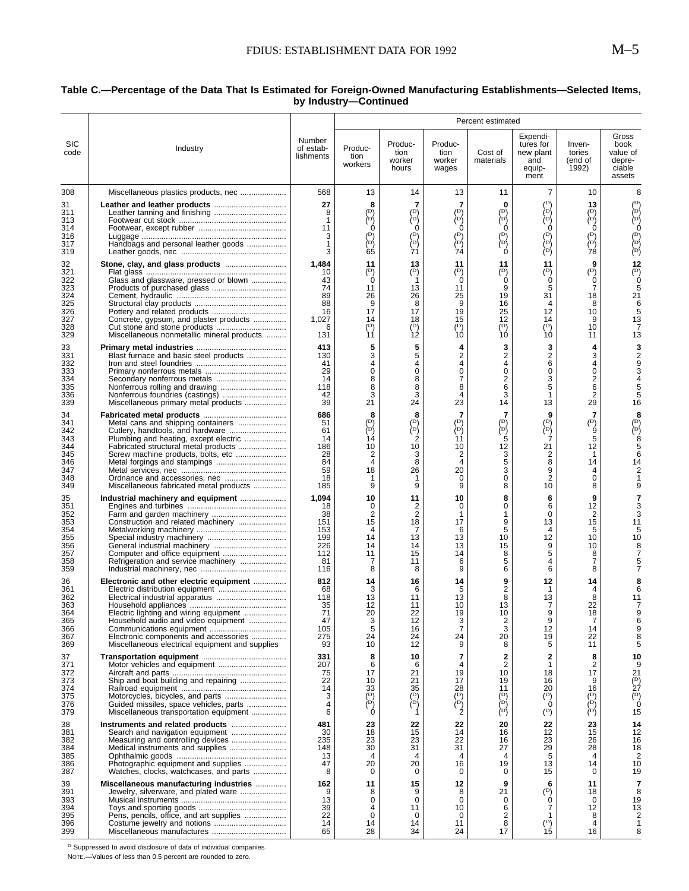#### **Table C.—Percentage of the Data That Is Estimated for Foreign-Owned Manufacturing Establishments—Selected Items, by Industry—Continued**

|                                                                   |                                                                                                                                                                                                                                          |                                                                   | Percent estimated                                                                 |                                                                           |                                                                                           |                                                                                                |                                                                                    |                                                                                             |                                                                    |
|-------------------------------------------------------------------|------------------------------------------------------------------------------------------------------------------------------------------------------------------------------------------------------------------------------------------|-------------------------------------------------------------------|-----------------------------------------------------------------------------------|---------------------------------------------------------------------------|-------------------------------------------------------------------------------------------|------------------------------------------------------------------------------------------------|------------------------------------------------------------------------------------|---------------------------------------------------------------------------------------------|--------------------------------------------------------------------|
| <b>SIC</b><br>code                                                | Industry                                                                                                                                                                                                                                 | Number<br>of estab-<br>lishments                                  | Produc-<br>tion<br>workers                                                        | Produc-<br>tion<br>worker<br>hours                                        | Produc-<br>tion<br>worker<br>wages                                                        | Cost of<br>materials                                                                           | Expendi-<br>tures for<br>new plant<br>and<br>equip-<br>ment                        | Inven-<br>tories<br>(end of<br>1992)                                                        | Gross<br>book<br>value of<br>depre-<br>ciable<br>assets            |
| 308                                                               | Miscellaneous plastics products, nec                                                                                                                                                                                                     | 568                                                               | 13                                                                                | 14                                                                        | 13                                                                                        | 11                                                                                             | $\overline{7}$                                                                     | 10                                                                                          | 8                                                                  |
| 31<br>311<br>313<br>314<br>316<br>317<br>319                      | Handbags and personal leather goods                                                                                                                                                                                                      | 27<br>8<br>1<br>11<br>3<br>1<br>3                                 | 8<br>(D)<br>èρή<br>0<br>$(\mathbb{D})$<br>ìσ,<br>65                               | 7<br>(D)<br>(pj<br>(D)<br>èρĵ<br>71                                       | 7<br>(D)<br>(P)<br>(D)<br>ìσί<br>74                                                       | $\bf{0}$<br>(D)<br>òрý<br>$\Omega$<br>$(\overline{D})$<br>(¤)<br>Ò                             | (D)<br>∕¤∖<br>èή<br>0<br>(D)<br>λÞή<br>(P)                                         | 13<br>$\binom{D}{D}$<br>$\Omega$<br>$(\overline{D})$<br>(¤)<br>78                           | ∖⊳∕<br>λDή<br>ΙD١<br>(D)<br>(D)                                    |
| 32<br>321<br>322<br>323<br>324<br>325<br>326<br>327<br>328<br>329 | Glass and glassware, pressed or blown<br>Concrete, gypsum, and plaster products<br>Miscellaneous nonmetallic mineral products                                                                                                            | 1,484<br>10<br>43<br>74<br>89<br>88<br>16<br>1,027<br>6<br>131    | 11<br>(D)<br>Ó<br>11<br>26<br>9<br>17<br>14<br>$(\mathbb{D})$<br>11               | 13<br>$(\mathsf{D})$<br>13<br>26<br>8<br>17<br>18<br>$\overline{P}$<br>ÌŹ | 11<br>$(\mathbf{D})$<br>Ó<br>11<br>25<br>9<br>19<br>15<br>$\overline{(\mathsf{D})}$<br>ÌÓ | 11<br>$\binom{D}{0}$<br>9<br>19<br>16<br>25<br>12<br>(D)<br>10                                 | 11<br>$\binom{D}{0}$<br>5<br>31<br>4<br>12<br>14<br>$(\mathsf{D})$<br>10           | 9<br>$(\mathsf{D})$<br>ó<br>7<br>18<br>8<br>10<br>9<br>10<br>11                             | 12<br>$(\mathbb{D})$<br>0<br>21<br>5<br>13<br>13                   |
| 33<br>331<br>332<br>333<br>334<br>335<br>336<br>339               | Blast furnace and basic steel products<br>Miscellaneous primary metal products                                                                                                                                                           | 413<br>130<br>41<br>29<br>14<br>118<br>42<br>39                   | 5<br>3<br>4<br>0<br>8<br>8<br>3<br>21                                             | 5<br>5<br>4<br>0<br>8<br>8<br>3<br>24                                     | 4<br>2<br>4<br>0<br>7<br>8<br>4<br>23                                                     | 3<br>$\overline{c}$<br>4<br>$\mathbf 0$<br>$\overline{c}$<br>6<br>3<br>14                      | 3<br>2<br>6<br>0<br>3<br>5<br>$\mathbf 1$<br>13                                    | 4<br>3<br>4<br>0<br>$\overline{\mathbf{c}}$<br>6<br>$\overline{2}$<br>29                    | 16                                                                 |
| 34<br>341<br>342<br>343<br>344<br>345<br>346<br>347<br>348<br>349 | Metal cans and shipping containers<br>Cutlery, handtools, and hardware<br>Plumbing and heating, except electric<br>Fabricated structural metal products<br>Screw machine products, bolts, etc<br>Miscellaneous fabricated metal products | 686<br>51<br>61<br>14<br>186<br>28<br>84<br>59<br>18<br>185       | 8<br>(D)<br>ìσ,<br>14<br>10<br>2<br>4<br>18<br>1<br>9                             | 8<br>(D)<br>(¤)<br>2<br>10<br>3<br>8<br>26<br>9                           | 7<br>(D)<br>λD∫<br>11<br>10<br>2<br>4<br>20<br>0<br>9                                     | 7<br>$\binom{D}{D}$<br>5<br>12<br>3<br>5<br>3<br>0<br>8                                        | 9<br>(D)<br>$\overleftrightarrow{c}$<br>21<br>2<br>8<br>9<br>2<br>10               | 7<br>$\ddot{P}$<br>5<br>12<br>1<br>14<br>4<br>0<br>8                                        | (D)<br>'n<br>14                                                    |
| 35<br>351<br>352<br>353<br>354<br>355<br>356<br>357<br>358<br>359 | Industrial machinery and equipment<br>Construction and related machinery<br>Computer and office equipment<br>Refrigeration and service machinery                                                                                         | 1,094<br>18<br>38<br>151<br>153<br>199<br>226<br>112<br>81<br>116 | 10<br>0<br>2<br>15<br>4<br>14<br>14<br>11<br>7<br>8                               | 11<br>2<br>2<br>18<br>7<br>13<br>14<br>15<br>11<br>8                      | 10<br>0<br>1<br>17<br>6<br>13<br>13<br>14<br>6<br>9                                       | 8<br>0<br>1<br>9<br>5<br>10<br>15<br>8<br>5<br>6                                               | 6<br>6<br>0<br>13<br>4<br>12<br>9<br>5<br>4<br>6                                   | 9<br>12<br>2<br>15<br>5<br>10<br>10<br>8<br>7<br>8                                          | 11<br>10                                                           |
| 36<br>361<br>362<br>363<br>364<br>365<br>366<br>367<br>369        | Electronic and other electric equipment<br>Electric lighting and wiring equipment<br>Household audio and video equipment<br>Electronic components and accessories<br>Miscellaneous electrical equipment and supplies                     | 812<br>68<br>118<br>35<br>71<br>47<br>105<br>275<br>93            | 14<br>3<br>13<br>12<br>20<br>$\frac{3}{5}$<br>24<br>10                            | 16<br>6<br>11<br>11<br>22<br>12<br>16<br>24<br>12                         | 14<br>5<br>13<br>10<br>19<br>$\frac{3}{7}$<br>24<br>9                                     | 9<br>$\overline{2}$<br>8<br>13<br>10<br>$\frac{2}{3}$<br>20<br>8                               | 12<br>-1<br>13<br>7<br>9<br>9<br>12<br>19<br>5                                     | 14<br>4<br>8<br>22<br>18<br>7<br>14<br>22<br>11                                             | 11<br>6<br>9<br>8                                                  |
| 37<br>371<br>372<br>373<br>374<br>375<br>376<br>379               | Ship and boat building and repairing<br>Guided missiles, space vehicles, parts<br>Miscellaneous transportation equipment                                                                                                                 | 331<br>207<br>75<br>22<br>14<br>3<br>4<br>6                       | 8<br>6<br>17<br>10<br>33<br>$\begin{pmatrix} D \\ D \end{pmatrix}$<br>$\mathbf 0$ | 10<br>6<br>21<br>21<br>35<br>$\begin{pmatrix} D \\ D \end{pmatrix}$<br>1  | $\overline{7}$<br>4<br>19<br>17<br>28<br>(D)<br>$\overleftrightarrow{P}$<br>2             | $\mathbf{2}$<br>$\overline{2}$<br>10<br>19<br>11<br>$\binom{D}{D}$<br>$\overleftrightarrow{P}$ | $\mathbf{2}$<br>$\mathbf{1}$<br>18<br>16<br>20<br>$\binom{p}{0}$<br>$\binom{D}{ }$ | 8<br>2<br>17<br>9<br>16<br>$\begin{pmatrix} 1 & 0 \\ 0 & 0 \\ 0 & 0 \\ 0 & 0 \end{pmatrix}$ | 10<br>9<br>21<br>$\binom{D}{k}$<br>27<br>$\overline{P}$<br>Ó<br>15 |
| 38<br>381<br>382<br>384<br>385<br>386<br>387                      | Search and navigation equipment<br>Medical instruments and supplies<br>Photographic equipment and supplies<br>Watches, clocks, watchcases, and parts                                                                                     | 481<br>30<br>235<br>148<br>13<br>47<br>8                          | 23<br>18<br>23<br>30<br>$\overline{4}$<br>20<br>0                                 | 22<br>15<br>23<br>31<br>4<br>20<br>0                                      | 22<br>14<br>22<br>31<br>4<br>16<br>0                                                      | 20<br>16<br>16<br>27<br>4<br>19<br>0                                                           | 22<br>12<br>23<br>29<br>5<br>13<br>15                                              | 23<br>15<br>26<br>28<br>4<br>14<br>0                                                        | 14<br>12<br>16<br>18<br>2<br>10<br>19                              |
| 39<br>391<br>393<br>394<br>395<br>396<br>399                      | Miscellaneous manufacturing industries<br>Jewelry, silverware, and plated ware<br>Pens, pencils, office, and art supplies<br>Miscellaneous manufactures                                                                                  | 162<br>9<br>13<br>39<br>22<br>14<br>65                            | 11<br>8<br>0<br>4<br>$\mathbf 0$<br>14<br>28                                      | 15<br>9<br>0<br>11<br>0<br>14<br>34                                       | 12<br>8<br>0<br>10<br>0<br>11<br>24                                                       | 9<br>21<br>0<br>6<br>2<br>8<br>17                                                              | 6<br>$\binom{D}{ }$<br>0<br>7<br>1<br>$\binom{D}{15}$                              | 11<br>18<br>0<br>12<br>8<br>4<br>16                                                         | 7<br>8<br>19<br>13<br>1<br>8                                       |

 $D$  Suppressed to avoid disclosure of data of individual companies.

NOTE.—Values of less than 0.5 percent are rounded to zero.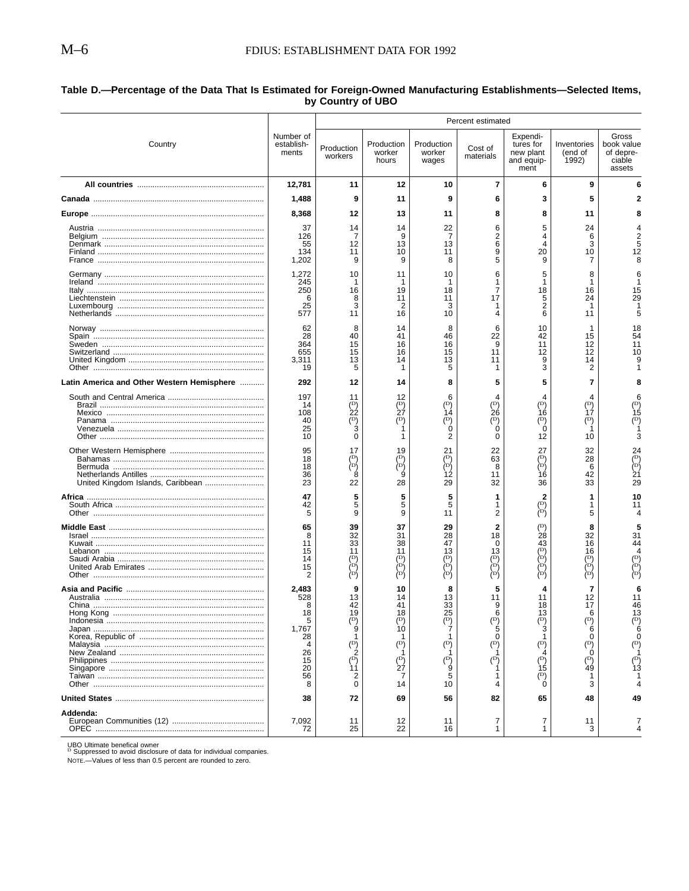# <span id="page-6-0"></span>Table D.—Percentage of the Data That Is Estimated for Foreign-Owned Manufacturing Establishments—Selected Items,<br>by Country of UBO

|                                            |                                                                               | Percent estimated                                                                |                                                                             |                                                           |                                                                                    |                                                                                              |                                                                                                       |                                                                               |  |
|--------------------------------------------|-------------------------------------------------------------------------------|----------------------------------------------------------------------------------|-----------------------------------------------------------------------------|-----------------------------------------------------------|------------------------------------------------------------------------------------|----------------------------------------------------------------------------------------------|-------------------------------------------------------------------------------------------------------|-------------------------------------------------------------------------------|--|
| Country                                    | Number of<br>establish-<br>ments                                              | Production<br>workers                                                            | Production<br>worker<br>hours                                               | Production<br>worker<br>wages                             | Cost of<br>materials                                                               | Expendi-<br>tures for<br>new plant<br>and equip-<br>ment                                     | Inventories<br>(end of<br>1992)                                                                       | Gross<br>book value<br>of depre-<br>ciable<br>assets                          |  |
|                                            | 12,781                                                                        | 11                                                                               | 12                                                                          | 10                                                        | 7                                                                                  | 6                                                                                            | 9                                                                                                     |                                                                               |  |
|                                            | 1,488                                                                         | 9                                                                                | 11                                                                          | 9                                                         | 6                                                                                  | 3                                                                                            | 5                                                                                                     |                                                                               |  |
|                                            | 8,368                                                                         | 12                                                                               | 13                                                                          | 11                                                        | 8                                                                                  | 8                                                                                            | 11                                                                                                    |                                                                               |  |
|                                            | 37<br>126<br>55<br>134<br>1,202                                               | 14<br>12<br>11<br>9                                                              | 14<br>9<br>13<br>10<br>9                                                    | 22<br>7<br>13<br>11<br>8                                  | 6<br>2<br>6<br>9<br>5                                                              | 5<br>4<br>Δ<br>20<br>9                                                                       | 24<br>6<br>3<br>10                                                                                    | 12                                                                            |  |
|                                            | 1,272<br>245<br>250<br>6<br>25<br>577                                         | 10<br>16<br>8<br>3<br>11                                                         | 11<br>1<br>19<br>11<br>2<br>16                                              | 10<br>1<br>18<br>11<br>3<br>10                            | 6<br>-1<br>7<br>17<br>-1<br>4                                                      | 5<br>18<br>5<br>2<br>6                                                                       | 8<br>16<br>24<br>11                                                                                   | 15<br>29                                                                      |  |
|                                            | 62<br>28<br>364<br>655<br>3,311<br>19                                         | 8<br>40<br>15<br>15<br>13                                                        | 14<br>41<br>16<br>16<br>14                                                  | 8<br>46<br>16<br>15<br>13<br>5                            | 6<br>22<br>9<br>11<br>11                                                           | 10<br>42<br>11<br>12<br>9<br>3                                                               | 15<br>12<br>12<br>14<br>2                                                                             | 18<br>54<br>11<br>10                                                          |  |
| Latin America and Other Western Hemisphere | 292                                                                           | 12                                                                               | 14                                                                          | 8                                                         |                                                                                    | 5                                                                                            | 7                                                                                                     |                                                                               |  |
|                                            | 197<br>14<br>108<br>40<br>25<br>10                                            | 11<br>(D)<br>22                                                                  | 12<br>(D)<br>27                                                             | 6<br>(D)<br>14<br>(D)                                     | (D)<br>26<br>(D)                                                                   | (D)<br>16<br>$(\mathsf{D})$<br>Ó<br>12                                                       | $(\mathsf{D})$<br>17<br>(D)<br>10                                                                     | 15<br>(D                                                                      |  |
|                                            | 95<br>18<br>18<br>36<br>23                                                    | 17<br>ŕD<br>22                                                                   | 19<br>'D)<br>28                                                             | 21<br>(D)<br>ÌDΙ<br>12<br>29                              | 22<br>63<br>8<br>11<br>32                                                          | 27<br>(D)<br>ÌΡĺ<br>16<br>36                                                                 | 32<br>28<br>6<br>42<br>33                                                                             | 24<br>$\overline{D}$<br>p<br>21<br>29                                         |  |
|                                            | 47<br>42<br>5                                                                 | 5<br>5<br>9                                                                      | 5<br>9                                                                      | 5<br>5<br>11                                              | 1<br>2                                                                             | (D)<br>∤¤{                                                                                   | 5                                                                                                     |                                                                               |  |
|                                            | 65<br>8<br>11<br>15<br>14<br>15<br>2                                          | 39<br>32<br>33<br>11                                                             | 37<br>31<br>38<br>11                                                        | 29<br>28<br>47<br>13<br>ΙD١<br>≀Ω∫<br>(D)                 | 2<br>18<br>∩<br>13<br>(D)<br>∖¤'<br>İD)                                            | 28<br>43<br>ìσί                                                                              | 32<br>16<br>16<br>(D)<br>∤¤∖<br>(D)                                                                   | 31<br>44                                                                      |  |
| Hong Kong                                  | 2,483<br>528<br>8<br>18<br>5<br>1,767<br>28<br>4<br>26<br>15<br>20<br>56<br>8 | 13<br>42<br>19<br>(D)<br>ġ<br>$\binom{D}{2}$<br>$\binom{p}{11}$<br>2<br>$\Omega$ | 10<br>14<br>41<br>18<br>(D)<br>10<br>(D)<br>$(\mathbb{D})$<br>27<br>7<br>14 | 13<br>33<br>25<br>$\frac{10}{7}$<br>(D)<br>(D)<br>5<br>10 | 11<br>9<br>6<br>$(\mathbf{D})$<br>5<br>$\Omega$<br>$(\mathbb{D})$<br>(D)<br>1<br>4 | 18<br>13<br>$\binom{D}{b}$<br>3<br>$(\mathbb{D})$<br>$(\mathbb{D})$<br>ìś<br>(D)<br>$\Omega$ | 12<br>17<br>$(\mathbf{D})$<br>6<br>$\Omega$<br>$\binom{D}{b}$<br>Ô<br>$(\mathsf{D})$<br>`49<br>1<br>3 | 46<br>13<br>(D<br>6<br>n<br>$\binom{D}{k}$<br>$\left(\mathsf{D}\right)$<br>Ì3 |  |
|                                            | 38                                                                            | 72                                                                               | 69                                                                          | 56                                                        | 82                                                                                 | 65                                                                                           | 48                                                                                                    | 49                                                                            |  |
| Addenda:                                   | 7,092<br>72                                                                   | 11<br>25                                                                         | 12<br>22                                                                    | 11<br>16                                                  | 7<br>$\mathbf{1}$                                                                  | 7<br>$\mathbf{1}$                                                                            | 11<br>3                                                                                               | 4                                                                             |  |

UBO Ultimate benefical owner<br><sup>D</sup> Suppressed to avoid disclosure of data for individual companies.

NOTE.-Values of less than 0.5 percent are rounded to zero.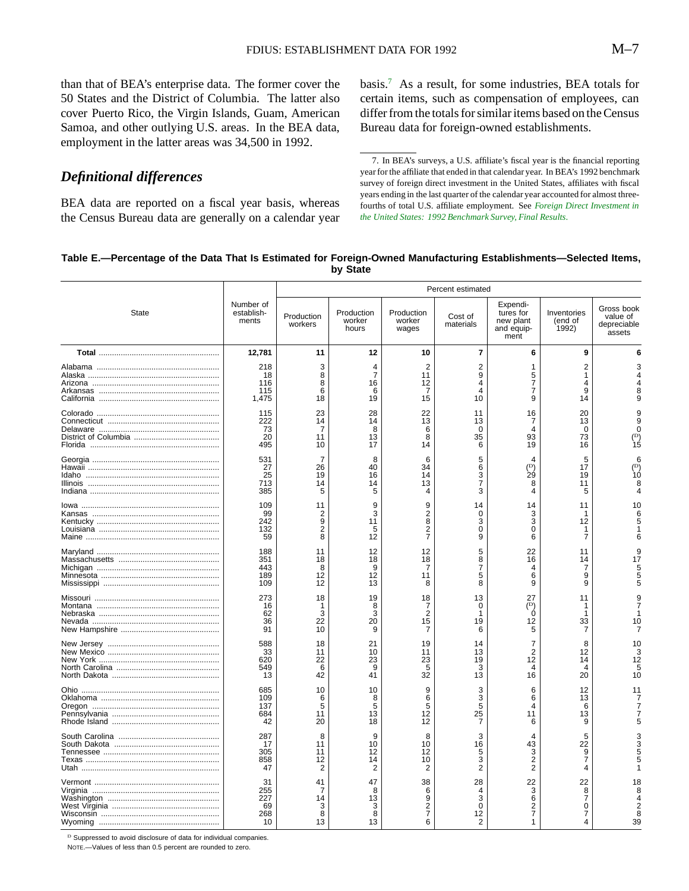<span id="page-7-0"></span>than that of BEA's enterprise data. The former cover the 50 States and the District of Columbia. The latter also cover Puerto Rico, the Virgin Islands, Guam, American Samoa, and other outlying U.S. areas. In the BEA data, employment in the latter areas was 34,500 in 1992.

*Definitional differences*

BEA data are reported on a fiscal year basis, whereas the Census Bureau data are generally on a calendar year basis.7 As a result, for some industries, BEA totals for certain items, such as compensation of employees, can differ from the totals for similar items based on the Census Bureau data for foreign-owned establishments.

7. In BEA's surveys, a U.S. affiliate's fiscal year is the financial reporting year for the affiliate that ended in that calendar year. In BEA's 1992 benchmark survey of foreign direct investment in the United States, affiliates with fiscal years ending in the last quarter of the calendar year accounted for almost threefourths of total U.S. affiliate employment. See *[Foreign Direct Investment in](http://www.bea.doc.gov/bea/meth/fdius92.pdf) [the United States: 1992 Benchmark Survey, Final Results](http://www.bea.doc.gov/bea/meth/fdius92.pdf)*.

#### **Table E.—Percentage of the Data That Is Estimated for Foreign-Owned Manufacturing Establishments—Selected Items, by State**

|              |                                     | Percent estimated                                |                               |                                                        |                                     |                                                          |                                     |                                                 |
|--------------|-------------------------------------|--------------------------------------------------|-------------------------------|--------------------------------------------------------|-------------------------------------|----------------------------------------------------------|-------------------------------------|-------------------------------------------------|
| <b>State</b> | Number of<br>establish-<br>ments    | Production<br>workers                            | Production<br>worker<br>hours | Production<br>worker<br>wages                          | Cost of<br>materials                | Expendi-<br>tures for<br>new plant<br>and equip-<br>ment | Inventories<br>(end of<br>1992)     | Gross book<br>value of<br>depreciable<br>assets |
|              | 12,781                              | 11                                               | 12                            | 10                                                     | $\overline{7}$                      | 6                                                        | 9                                   | 6                                               |
|              | 218<br>18<br>116<br>115<br>1,475    | 3<br>8<br>8<br>6<br>18                           | 4<br>7<br>16<br>6<br>19       | $\overline{2}$<br>11<br>12<br>7<br>15                  | $\overline{2}$<br>9<br>4<br>4<br>10 | 1<br>5<br>$\overline{7}$<br>7<br>9                       | $\overline{2}$<br>1<br>4<br>9<br>14 | 8<br>9                                          |
|              | 115<br>222<br>73<br>20<br>495       | 23<br>14<br>7<br>11<br>10                        | 28<br>14<br>8<br>13<br>17     | 22<br>13<br>6<br>8<br>14                               | 11<br>13<br>0<br>35<br>6            | 16<br>7<br>4<br>93<br>19                                 | 20<br>13<br>0<br>73<br>16           | 9<br>9<br>$\Omega$<br>$\binom{D}{15}$           |
|              | 531<br>27<br>25<br>713<br>385       | 7<br>26<br>19<br>14<br>5                         | 8<br>40<br>16<br>14<br>5      | 6<br>34<br>14<br>13<br>4                               | 5<br>6<br>3<br>7<br>3               | (D)<br>29<br>8<br>4                                      | 5<br>17<br>19<br>11<br>5            | 1Ó<br>8                                         |
|              | 109<br>99<br>242<br>132<br>59       | 11<br>2<br>$\overline{9}$<br>$\overline{2}$<br>8 | 9<br>3<br>11<br>5<br>12       | 9<br>$\frac{2}{8}$<br>$\overline{2}$<br>$\overline{7}$ | 14<br>0<br>3<br>0<br>9              | 14<br>3<br>3<br>0<br>6                                   | 11<br>12<br>-1<br>$\overline{7}$    | 10<br>6<br>5<br>6                               |
|              | 188<br>351<br>443<br>189<br>109     | 11<br>18<br>8<br>12<br>12                        | 12<br>18<br>9<br>12<br>13     | 12<br>18<br>7<br>11<br>8                               | 5<br>8<br>$\overline{7}$<br>5<br>8  | 22<br>16<br>4<br>6<br>9                                  | 11<br>14<br>7<br>9<br>9             | 9<br>17<br>5<br>5<br>5                          |
|              | 273<br>16<br>62<br>36<br>91         | 18<br>1<br>3<br>22<br>10                         | 19<br>8<br>3<br>20<br>9       | 18<br>7<br>$\overline{2}$<br>15<br>7                   | 13<br>$\Omega$<br>1<br>19<br>6      | 27<br>$(\mathbb{D})$<br>Ó<br>12<br>5                     | 11<br>-1<br>33<br>7                 | 9<br>10                                         |
|              | 588<br>33<br>620<br>549<br>13       | 18<br>11<br>22<br>6<br>42                        | 21<br>10<br>23<br>9<br>41     | 19<br>11<br>23<br>5<br>32                              | 14<br>13<br>19<br>3<br>13           | $\overline{7}$<br>$\overline{2}$<br>12<br>4<br>16        | 8<br>12<br>14<br>4<br>20            | 10<br>3<br>12<br>5<br>10                        |
|              | 685<br>109<br>137<br>684<br>42      | 10<br>6<br>5<br>11<br>20                         | 10<br>8<br>5<br>13<br>18      | 9<br>6<br>5<br>12<br>12                                | 3<br>3<br>5<br>25<br>7              | 6<br>6<br>4<br>11<br>6                                   | 12<br>13<br>6<br>13<br>9            | 11<br>7<br>7<br>5                               |
|              | 287<br>17<br>305<br>858<br>47       | 8<br>11<br>11<br>12<br>2                         | 9<br>10<br>12<br>14<br>2      | 8<br>10<br>12<br>10<br>$\overline{2}$                  | 3<br>16<br>5<br>3<br>$\overline{2}$ | 43<br>3<br>$\overline{2}$<br>$\overline{2}$              | 5<br>22<br>9<br>$\overline{7}$<br>4 | p<br>3<br>5                                     |
|              | 31<br>255<br>227<br>69<br>268<br>10 | 41<br>7<br>14<br>3<br>8<br>13                    | 47<br>8<br>13<br>3<br>8<br>13 | 38<br>6<br>9<br>$\frac{2}{7}$<br>6                     | 28<br>4<br>3<br>0<br>12<br>2        | 22<br>3<br>6<br>$\frac{2}{7}$<br>1                       | 22<br>8<br>7<br>0<br>7              | 18<br>8<br>4<br>$\overline{2}$<br>8<br>39       |

 $^{\rm D}$  Suppressed to avoid disclosure of data for individual companies.

NOTE.—Values of less than 0.5 percent are rounded to zero.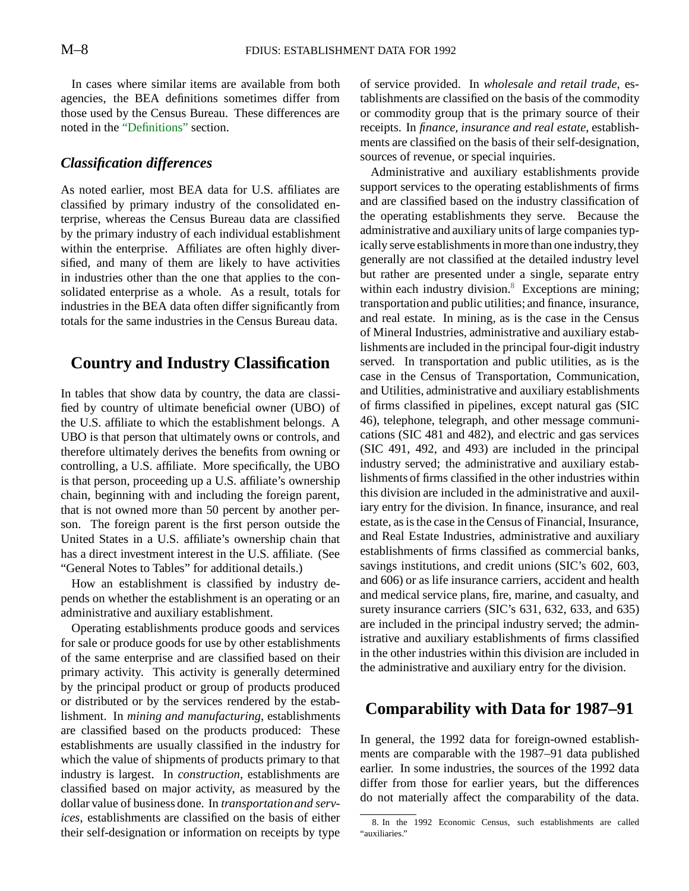In cases where similar items are available from both agencies, the BEA definitions sometimes differ from those used by the Census Bureau. These differences are noted in the ["Definitions"](#page-9-0) section.

### *Classification differences*

As noted earlier, most BEA data for U.S. affiliates are classified by primary industry of the consolidated enterprise, whereas the Census Bureau data are classified by the primary industry of each individual establishment within the enterprise. Affiliates are often highly diversified, and many of them are likely to have activities in industries other than the one that applies to the consolidated enterprise as a whole. As a result, totals for industries in the BEA data often differ significantly from totals for the same industries in the Census Bureau data.

# **Country and Industry Classification**

In tables that show data by country, the data are classified by country of ultimate beneficial owner (UBO) of the U.S. affiliate to which the establishment belongs. A UBO is that person that ultimately owns or controls, and therefore ultimately derives the benefits from owning or controlling, a U.S. affiliate. More specifically, the UBO is that person, proceeding up a U.S. affiliate's ownership chain, beginning with and including the foreign parent, that is not owned more than 50 percent by another person. The foreign parent is the first person outside the United States in a U.S. affiliate's ownership chain that has a direct investment interest in the U.S. affiliate. (See "General Notes to Tables" for additional details.)

How an establishment is classified by industry depends on whether the establishment is an operating or an administrative and auxiliary establishment.

Operating establishments produce goods and services for sale or produce goods for use by other establishments of the same enterprise and are classified based on their primary activity. This activity is generally determined by the principal product or group of products produced or distributed or by the services rendered by the establishment. In *mining and manufacturing*, establishments are classified based on the products produced: These establishments are usually classified in the industry for which the value of shipments of products primary to that industry is largest. In *construction*, establishments are classified based on major activity, as measured by the dollar value of business done. In *transportationand services*, establishments are classified on the basis of either their self-designation or information on receipts by type

of service provided. In *wholesale and retail trade*, establishments are classified on the basis of the commodity or commodity group that is the primary source of their receipts. In *finance, insurance and real estate*, establishments are classified on the basis of their self-designation, sources of revenue, or special inquiries.

Administrative and auxiliary establishments provide support services to the operating establishments of firms and are classified based on the industry classification of the operating establishments they serve. Because the administrative and auxiliary units of large companies typically serve establishments in more than one industry,they generally are not classified at the detailed industry level but rather are presented under a single, separate entry within each industry division.<sup>8</sup> Exceptions are mining; transportation and public utilities; and finance, insurance, and real estate. In mining, as is the case in the Census of Mineral Industries, administrative and auxiliary establishments are included in the principal four-digit industry served. In transportation and public utilities, as is the case in the Census of Transportation, Communication, and Utilities, administrative and auxiliary establishments of firms classified in pipelines, except natural gas (SIC 46), telephone, telegraph, and other message communications (SIC 481 and 482), and electric and gas services (SIC 491, 492, and 493) are included in the principal industry served; the administrative and auxiliary establishments of firms classified in the other industries within this division are included in the administrative and auxiliary entry for the division. In finance, insurance, and real estate, as is the case in the Census of Financial, Insurance, and Real Estate Industries, administrative and auxiliary establishments of firms classified as commercial banks, savings institutions, and credit unions (SIC's 602, 603, and 606) or as life insurance carriers, accident and health and medical service plans, fire, marine, and casualty, and surety insurance carriers (SIC's 631, 632, 633, and 635) are included in the principal industry served; the administrative and auxiliary establishments of firms classified in the other industries within this division are included in the administrative and auxiliary entry for the division.

# **Comparability with Data for 1987–91**

In general, the 1992 data for foreign-owned establishments are comparable with the 1987–91 data published earlier. In some industries, the sources of the 1992 data differ from those for earlier years, but the differences do not materially affect the comparability of the data.

<sup>8.</sup> In the 1992 Economic Census, such establishments are called "auxiliaries."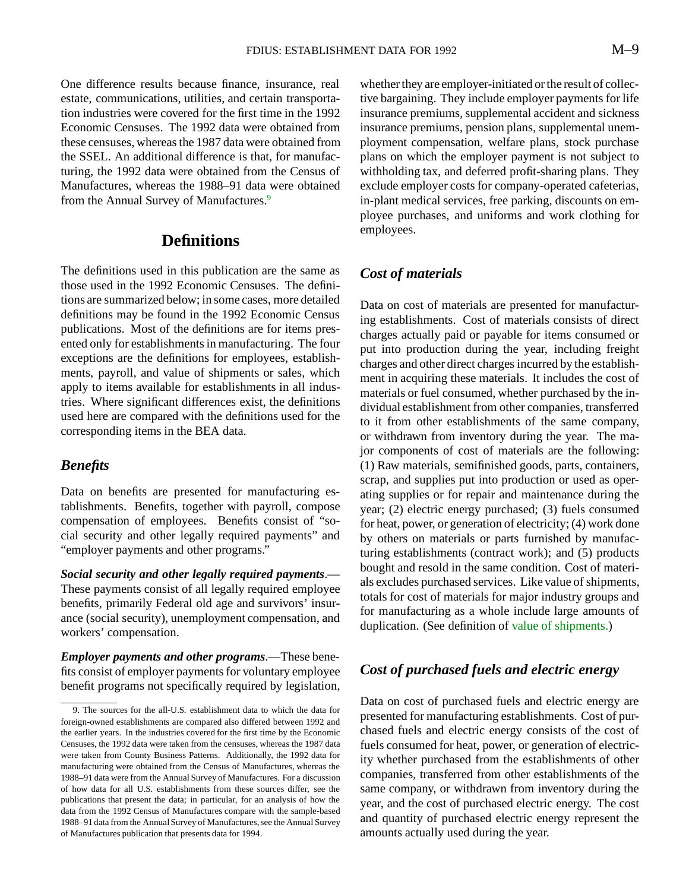<span id="page-9-0"></span>One difference results because finance, insurance, real estate, communications, utilities, and certain transportation industries were covered for the first time in the 1992 Economic Censuses. The 1992 data were obtained from these censuses, whereas the 1987 data were obtained from the SSEL. An additional difference is that, for manufacturing, the 1992 data were obtained from the Census of Manufactures, whereas the 1988–91 data were obtained from the Annual Survey of Manufactures.<sup>9</sup>

# **Definitions**

The definitions used in this publication are the same as those used in the 1992 Economic Censuses. The definitions are summarized below; in some cases, more detailed definitions may be found in the 1992 Economic Census publications. Most of the definitions are for items presented only for establishments in manufacturing. The four exceptions are the definitions for employees, establishments, payroll, and value of shipments or sales, which apply to items available for establishments in all industries. Where significant differences exist, the definitions used here are compared with the definitions used for the corresponding items in the BEA data.

#### *Benefits*

Data on benefits are presented for manufacturing establishments. Benefits, together with payroll, compose compensation of employees. Benefits consist of "social security and other legally required payments" and "employer payments and other programs."

*Social security and other legally required payments*.— These payments consist of all legally required employee benefits, primarily Federal old age and survivors' insurance (social security), unemployment compensation, and workers' compensation.

*Employer payments and other programs*.—These benefits consist of employer payments for voluntary employee benefit programs not specifically required by legislation, whether they are employer-initiated or the result of collective bargaining. They include employer payments for life insurance premiums, supplemental accident and sickness insurance premiums, pension plans, supplemental unemployment compensation, welfare plans, stock purchase plans on which the employer payment is not subject to withholding tax, and deferred profit-sharing plans. They exclude employer costs for company-operated cafeterias, in-plant medical services, free parking, discounts on employee purchases, and uniforms and work clothing for employees.

#### *Cost of materials*

Data on cost of materials are presented for manufacturing establishments. Cost of materials consists of direct charges actually paid or payable for items consumed or put into production during the year, including freight charges and other direct charges incurred by the establishment in acquiring these materials. It includes the cost of materials or fuel consumed, whether purchased by the individual establishment from other companies, transferred to it from other establishments of the same company, or withdrawn from inventory during the year. The major components of cost of materials are the following: (1) Raw materials, semifinished goods, parts, containers, scrap, and supplies put into production or used as operating supplies or for repair and maintenance during the year; (2) electric energy purchased; (3) fuels consumed for heat, power, or generation of electricity; (4) work done by others on materials or parts furnished by manufacturing establishments (contract work); and (5) products bought and resold in the same condition. Cost of materials excludes purchased services. Like value of shipments, totals for cost of materials for major industry groups and for manufacturing as a whole include large amounts of duplication. (See definition of value of shipments.)

#### *Cost of purchased fuels and electric energy*

Data on cost of purchased fuels and electric energy are presented for manufacturing establishments. Cost of purchased fuels and electric energy consists of the cost of fuels consumed for heat, power, or generation of electricity whether purchased from the establishments of other companies, transferred from other establishments of the same company, or withdrawn from inventory during the year, and the cost of purchased electric energy. The cost and quantity of purchased electric energy represent the amounts actually used during the year.

<sup>9.</sup> The sources for the all-U.S. establishment data to which the data for foreign-owned establishments are compared also differed between 1992 and the earlier years. In the industries covered for the first time by the Economic Censuses, the 1992 data were taken from the censuses, whereas the 1987 data were taken from County Business Patterns. Additionally, the 1992 data for manufacturing were obtained from the Census of Manufactures, whereas the 1988–91 data were from the Annual Survey of Manufactures. For a discussion of how data for all U.S. establishments from these sources differ, see the publications that present the data; in particular, for an analysis of how the data from the 1992 Census of Manufactures compare with the sample-based 1988–91 data from the Annual Survey of Manufactures, see the Annual Survey of Manufactures publication that presents data for 1994.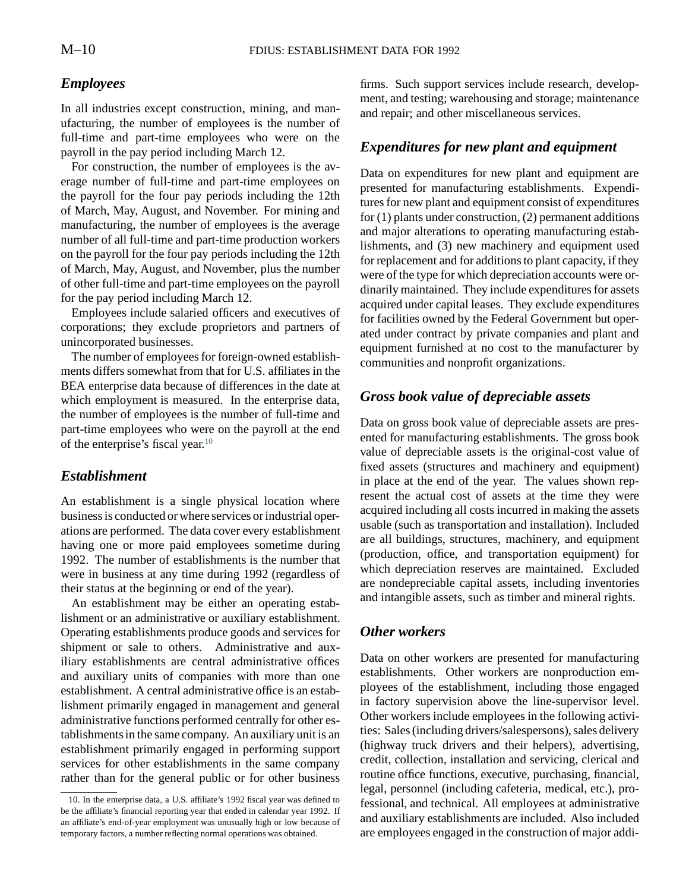#### <span id="page-10-0"></span>*Employees*

In all industries except construction, mining, and manufacturing, the number of employees is the number of full-time and part-time employees who were on the payroll in the pay period including March 12.

For construction, the number of employees is the average number of full-time and part-time employees on the payroll for the four pay periods including the 12th of March, May, August, and November. For mining and manufacturing, the number of employees is the average number of all full-time and part-time production workers on the payroll for the four pay periods including the 12th of March, May, August, and November, plus the number of other full-time and part-time employees on the payroll for the pay period including March 12.

Employees include salaried officers and executives of corporations; they exclude proprietors and partners of unincorporated businesses.

The number of employees for foreign-owned establishments differs somewhat from that for U.S. affiliates in the BEA enterprise data because of differences in the date at which employment is measured. In the enterprise data, the number of employees is the number of full-time and part-time employees who were on the payroll at the end of the enterprise's fiscal year.10

#### *Establishment*

An establishment is a single physical location where business is conducted or where services or industrial operations are performed. The data cover every establishment having one or more paid employees sometime during 1992. The number of establishments is the number that were in business at any time during 1992 (regardless of their status at the beginning or end of the year).

An establishment may be either an operating establishment or an administrative or auxiliary establishment. Operating establishments produce goods and services for shipment or sale to others. Administrative and auxiliary establishments are central administrative offices and auxiliary units of companies with more than one establishment. A central administrative office is an establishment primarily engaged in management and general administrative functions performed centrally for other establishments in the same company. An auxiliary unit is an establishment primarily engaged in performing support services for other establishments in the same company rather than for the general public or for other business

firms. Such support services include research, development, and testing; warehousing and storage; maintenance and repair; and other miscellaneous services.

# *Expenditures for new plant and equipment*

Data on expenditures for new plant and equipment are presented for manufacturing establishments. Expenditures for new plant and equipment consist of expenditures for (1) plants under construction, (2) permanent additions and major alterations to operating manufacturing establishments, and (3) new machinery and equipment used for replacement and for additions to plant capacity, if they were of the type for which depreciation accounts were ordinarily maintained. They include expenditures for assets acquired under capital leases. They exclude expenditures for facilities owned by the Federal Government but operated under contract by private companies and plant and equipment furnished at no cost to the manufacturer by communities and nonprofit organizations.

#### *Gross book value of depreciable assets*

Data on gross book value of depreciable assets are presented for manufacturing establishments. The gross book value of depreciable assets is the original-cost value of fixed assets (structures and machinery and equipment) in place at the end of the year. The values shown represent the actual cost of assets at the time they were acquired including all costs incurred in making the assets usable (such as transportation and installation). Included are all buildings, structures, machinery, and equipment (production, office, and transportation equipment) for which depreciation reserves are maintained. Excluded are nondepreciable capital assets, including inventories and intangible assets, such as timber and mineral rights.

#### *Other workers*

Data on other workers are presented for manufacturing establishments. Other workers are nonproduction employees of the establishment, including those engaged in factory supervision above the line-supervisor level. Other workers include employees in the following activities: Sales (including drivers/salespersons), sales delivery (highway truck drivers and their helpers), advertising, credit, collection, installation and servicing, clerical and routine office functions, executive, purchasing, financial, legal, personnel (including cafeteria, medical, etc.), professional, and technical. All employees at administrative and auxiliary establishments are included. Also included are employees engaged in the construction of major addi-

<sup>10.</sup> In the enterprise data, a U.S. affiliate's 1992 fiscal year was defined to be the affiliate's financial reporting year that ended in calendar year 1992. If an affiliate's end-of-year employment was unusually high or low because of temporary factors, a number reflecting normal operations was obtained.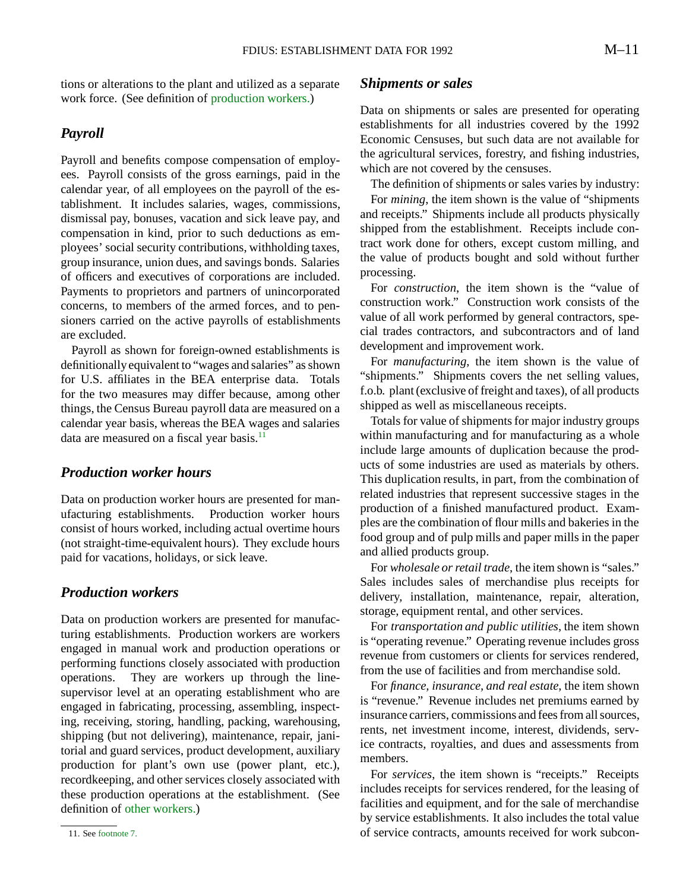tions or alterations to the plant and utilized as a separate work force. (See definition of production workers.)

#### *Payroll*

Payroll and benefits compose compensation of employees. Payroll consists of the gross earnings, paid in the calendar year, of all employees on the payroll of the establishment. It includes salaries, wages, commissions, dismissal pay, bonuses, vacation and sick leave pay, and compensation in kind, prior to such deductions as employees' social security contributions, withholding taxes, group insurance, union dues, and savings bonds. Salaries of officers and executives of corporations are included. Payments to proprietors and partners of unincorporated concerns, to members of the armed forces, and to pensioners carried on the active payrolls of establishments are excluded.

Payroll as shown for foreign-owned establishments is definitionally equivalent to "wages and salaries" as shown for U.S. affiliates in the BEA enterprise data. Totals for the two measures may differ because, among other things, the Census Bureau payroll data are measured on a calendar year basis, whereas the BEA wages and salaries data are measured on a fiscal year basis. $11$ 

#### *Production worker hours*

Data on production worker hours are presented for manufacturing establishments. Production worker hours consist of hours worked, including actual overtime hours (not straight-time-equivalent hours). They exclude hours paid for vacations, holidays, or sick leave.

#### *Production workers*

Data on production workers are presented for manufacturing establishments. Production workers are workers engaged in manual work and production operations or performing functions closely associated with production operations. They are workers up through the linesupervisor level at an operating establishment who are engaged in fabricating, processing, assembling, inspecting, receiving, storing, handling, packing, warehousing, shipping (but not delivering), maintenance, repair, janitorial and guard services, product development, auxiliary production for plant's own use (power plant, etc.), recordkeeping, and other services closely associated with these production operations at the establishment. (See definition of [other workers.\)](#page-10-0)

#### *Shipments or sales*

Data on shipments or sales are presented for operating establishments for all industries covered by the 1992 Economic Censuses, but such data are not available for the agricultural services, forestry, and fishing industries, which are not covered by the censuses.

The definition of shipments or sales varies by industry:

For *mining*, the item shown is the value of "shipments and receipts." Shipments include all products physically shipped from the establishment. Receipts include contract work done for others, except custom milling, and the value of products bought and sold without further processing.

For *construction*, the item shown is the "value of construction work." Construction work consists of the value of all work performed by general contractors, special trades contractors, and subcontractors and of land development and improvement work.

For *manufacturing*, the item shown is the value of "shipments." Shipments covers the net selling values, f.o.b. plant (exclusive of freight and taxes), of all products shipped as well as miscellaneous receipts.

Totals for value of shipments for major industry groups within manufacturing and for manufacturing as a whole include large amounts of duplication because the products of some industries are used as materials by others. This duplication results, in part, from the combination of related industries that represent successive stages in the production of a finished manufactured product. Examples are the combination of flour mills and bakeries in the food group and of pulp mills and paper mills in the paper and allied products group.

For *wholesale or retail trade*, the item shown is "sales." Sales includes sales of merchandise plus receipts for delivery, installation, maintenance, repair, alteration, storage, equipment rental, and other services.

For *transportation and public utilities*, the item shown is "operating revenue." Operating revenue includes gross revenue from customers or clients for services rendered, from the use of facilities and from merchandise sold.

For *finance, insurance, and real estate*, the item shown is "revenue." Revenue includes net premiums earned by insurance carriers, commissions and fees from all sources, rents, net investment income, interest, dividends, service contracts, royalties, and dues and assessments from members.

For *services*, the item shown is "receipts." Receipts includes receipts for services rendered, for the leasing of facilities and equipment, and for the sale of merchandise by service establishments. It also includes the total value of service contracts, amounts received for work subcon-

<sup>11.</sup> See [footnote 7.](#page-7-0)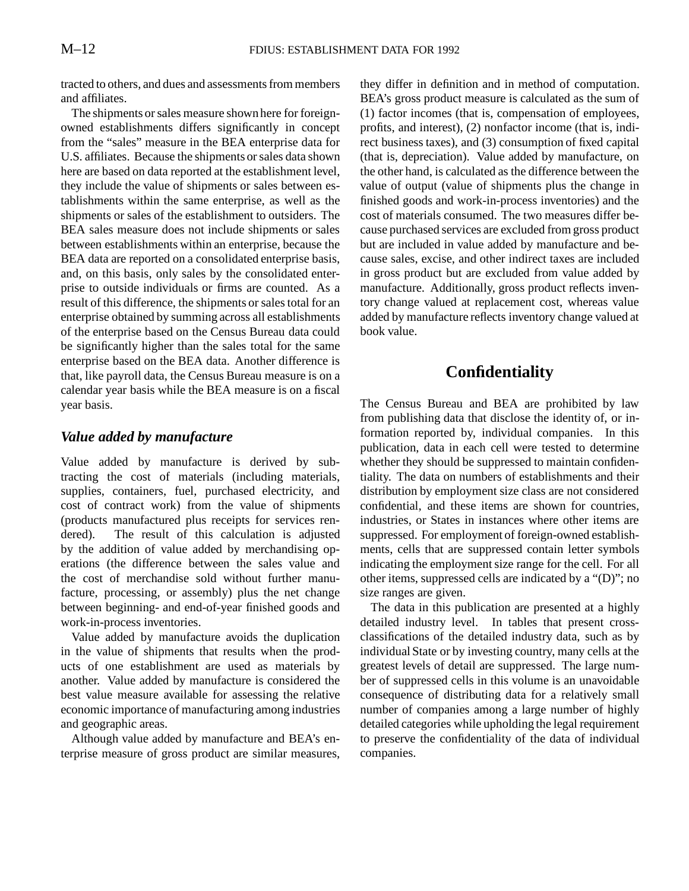tracted to others, and dues and assessments from members and affiliates.

The shipments or sales measure shown here for foreignowned establishments differs significantly in concept from the "sales" measure in the BEA enterprise data for U.S. affiliates. Because the shipments or sales data shown here are based on data reported at the establishment level, they include the value of shipments or sales between establishments within the same enterprise, as well as the shipments or sales of the establishment to outsiders. The BEA sales measure does not include shipments or sales between establishments within an enterprise, because the BEA data are reported on a consolidated enterprise basis, and, on this basis, only sales by the consolidated enterprise to outside individuals or firms are counted. As a result of this difference, the shipments or sales total for an enterprise obtained by summing across all establishments of the enterprise based on the Census Bureau data could be significantly higher than the sales total for the same enterprise based on the BEA data. Another difference is that, like payroll data, the Census Bureau measure is on a calendar year basis while the BEA measure is on a fiscal year basis.

### *Value added by manufacture*

Value added by manufacture is derived by subtracting the cost of materials (including materials, supplies, containers, fuel, purchased electricity, and cost of contract work) from the value of shipments (products manufactured plus receipts for services rendered). The result of this calculation is adjusted by the addition of value added by merchandising operations (the difference between the sales value and the cost of merchandise sold without further manufacture, processing, or assembly) plus the net change between beginning- and end-of-year finished goods and work-in-process inventories.

Value added by manufacture avoids the duplication in the value of shipments that results when the products of one establishment are used as materials by another. Value added by manufacture is considered the best value measure available for assessing the relative economic importance of manufacturing among industries and geographic areas.

Although value added by manufacture and BEA's enterprise measure of gross product are similar measures, they differ in definition and in method of computation. BEA's gross product measure is calculated as the sum of (1) factor incomes (that is, compensation of employees, profits, and interest), (2) nonfactor income (that is, indirect business taxes), and (3) consumption of fixed capital (that is, depreciation). Value added by manufacture, on the other hand, is calculated as the difference between the value of output (value of shipments plus the change in finished goods and work-in-process inventories) and the cost of materials consumed. The two measures differ because purchased services are excluded from gross product but are included in value added by manufacture and because sales, excise, and other indirect taxes are included in gross product but are excluded from value added by manufacture. Additionally, gross product reflects inventory change valued at replacement cost, whereas value added by manufacture reflects inventory change valued at book value.

# **Confidentiality**

The Census Bureau and BEA are prohibited by law from publishing data that disclose the identity of, or information reported by, individual companies. In this publication, data in each cell were tested to determine whether they should be suppressed to maintain confidentiality. The data on numbers of establishments and their distribution by employment size class are not considered confidential, and these items are shown for countries, industries, or States in instances where other items are suppressed. For employment of foreign-owned establishments, cells that are suppressed contain letter symbols indicating the employment size range for the cell. For all other items, suppressed cells are indicated by a "(D)"; no size ranges are given.

The data in this publication are presented at a highly detailed industry level. In tables that present crossclassifications of the detailed industry data, such as by individual State or by investing country, many cells at the greatest levels of detail are suppressed. The large number of suppressed cells in this volume is an unavoidable consequence of distributing data for a relatively small number of companies among a large number of highly detailed categories while upholding the legal requirement to preserve the confidentiality of the data of individual companies.